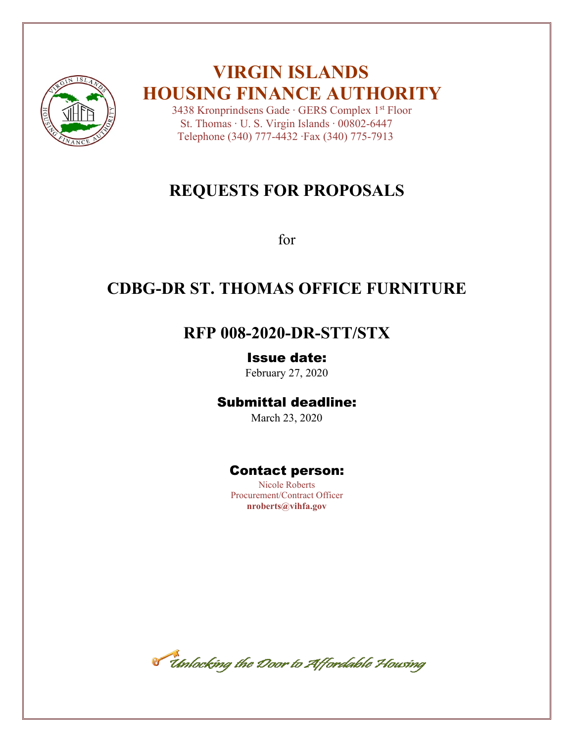

# **VIRGIN ISLANDS HOUSING FINANCE AUTHORITY**

 3438 Kronprindsens Gade ∙ GERS Complex 1st Floor St. Thomas ∙ U. S. Virgin Islands ∙ 00802-6447 Telephone (340) 777-4432 ∙Fax (340) 775-7913

# **REQUESTS FOR PROPOSALS**

for

# **CDBG-DR ST. THOMAS OFFICE FURNITURE**

## **RFP 008-2020-DR-STT/STX**

## Issue date:

February 27, 2020

## Submittal deadline:

March 23, 2020

## Contact person:

Nicole Roberts Procurement/Contract Officer **nroberts@vihfa.gov**

Timlocking the Door to Affordable Housing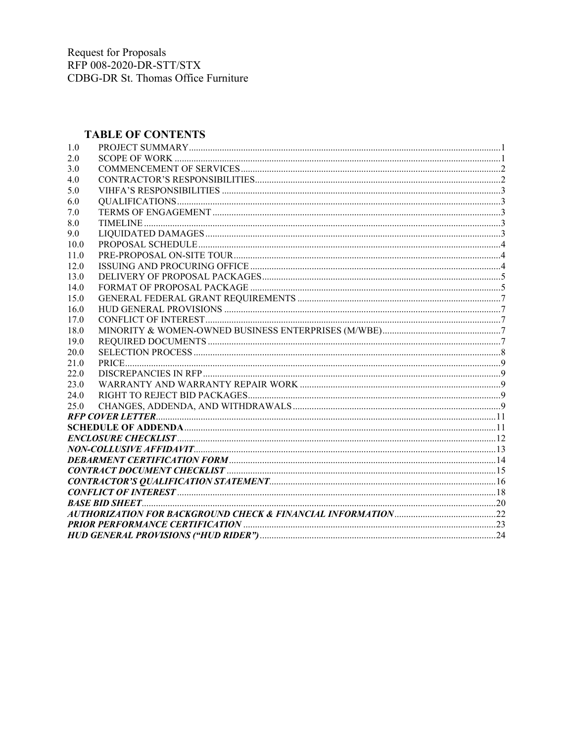### **TABLE OF CONTENTS**

| 1.0  |  |
|------|--|
| 2.0  |  |
| 3.0  |  |
| 4.0  |  |
| 5.0  |  |
| 6.0  |  |
| 7.0  |  |
| 8.0  |  |
| 9.0  |  |
| 10.0 |  |
| 11.0 |  |
| 12.0 |  |
| 13.0 |  |
| 14.0 |  |
| 15.0 |  |
| 16.0 |  |
| 17.0 |  |
| 18.0 |  |
| 19.0 |  |
| 20.0 |  |
| 21.0 |  |
| 22.0 |  |
| 23.0 |  |
| 24.0 |  |
| 25.0 |  |
|      |  |
|      |  |
|      |  |
|      |  |
|      |  |
|      |  |
|      |  |
|      |  |
|      |  |
|      |  |
|      |  |
|      |  |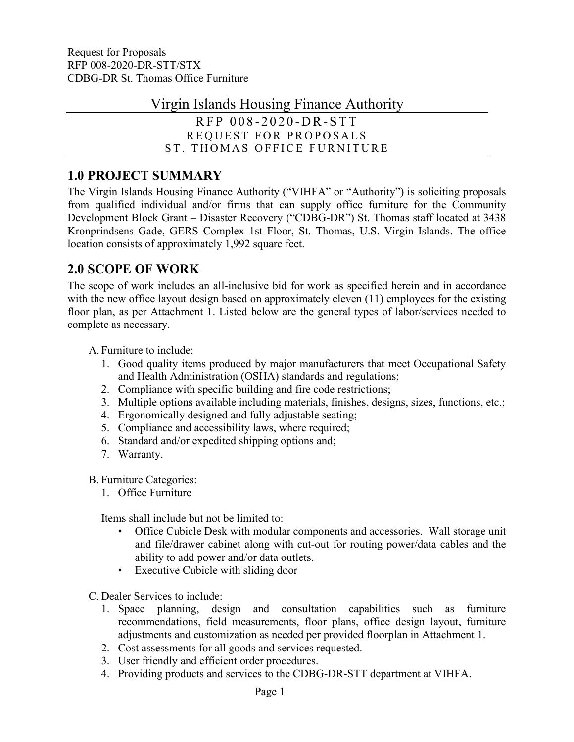Virgin Islands Housing Finance Authority

RFP 0 0 8 - 2 0 2 0 -D R-S TT REQUEST FOR PROPOSALS ST. THOMAS OFFICE FURNITURE

## <span id="page-2-0"></span>**1.0 PROJECT SUMMARY**

The Virgin Islands Housing Finance Authority ("VIHFA" or "Authority") is soliciting proposals from qualified individual and/or firms that can supply office furniture for the Community Development Block Grant – Disaster Recovery ("CDBG-DR") St. Thomas staff located at 3438 Kronprindsens Gade, GERS Complex 1st Floor, St. Thomas, U.S. Virgin Islands. The office location consists of approximately 1,992 square feet.

## <span id="page-2-1"></span>**2.0 SCOPE OF WORK**

The scope of work includes an all-inclusive bid for work as specified herein and in accordance with the new office layout design based on approximately eleven (11) employees for the existing floor plan, as per Attachment 1. Listed below are the general types of labor/services needed to complete as necessary.

A. Furniture to include:

- 1. Good quality items produced by major manufacturers that meet Occupational Safety and Health Administration (OSHA) standards and regulations;
- 2. Compliance with specific building and fire code restrictions;
- 3. Multiple options available including materials, finishes, designs, sizes, functions, etc.;
- 4. Ergonomically designed and fully adjustable seating;
- 5. Compliance and accessibility laws, where required;
- 6. Standard and/or expedited shipping options and;
- 7. Warranty.

B. Furniture Categories:

1. Office Furniture

Items shall include but not be limited to:

- Office Cubicle Desk with modular components and accessories. Wall storage unit and file/drawer cabinet along with cut-out for routing power/data cables and the ability to add power and/or data outlets.
- Executive Cubicle with sliding door
- C. Dealer Services to include:
	- 1. Space planning, design and consultation capabilities such as furniture recommendations, field measurements, floor plans, office design layout, furniture adjustments and customization as needed per provided floorplan in Attachment 1.
	- 2. Cost assessments for all goods and services requested.
	- 3. User friendly and efficient order procedures.
	- 4. Providing products and services to the CDBG-DR-STT department at VIHFA.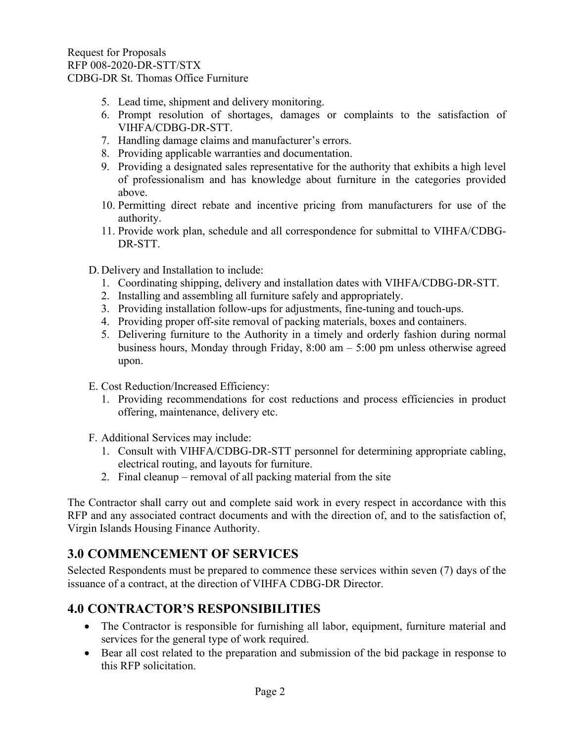- 5. Lead time, shipment and delivery monitoring.
- 6. Prompt resolution of shortages, damages or complaints to the satisfaction of VIHFA/CDBG-DR-STT.
- 7. Handling damage claims and manufacturer's errors.
- 8. Providing applicable warranties and documentation.
- 9. Providing a designated sales representative for the authority that exhibits a high level of professionalism and has knowledge about furniture in the categories provided above.
- 10. Permitting direct rebate and incentive pricing from manufacturers for use of the authority.
- 11. Provide work plan, schedule and all correspondence for submittal to VIHFA/CDBG-DR-STT.

D. Delivery and Installation to include:

- 1. Coordinating shipping, delivery and installation dates with VIHFA/CDBG-DR-STT.
- 2. Installing and assembling all furniture safely and appropriately.
- 3. Providing installation follow-ups for adjustments, fine-tuning and touch-ups.
- 4. Providing proper off-site removal of packing materials, boxes and containers.
- 5. Delivering furniture to the Authority in a timely and orderly fashion during normal business hours, Monday through Friday, 8:00 am – 5:00 pm unless otherwise agreed upon.
- E. Cost Reduction/Increased Efficiency:
	- 1. Providing recommendations for cost reductions and process efficiencies in product offering, maintenance, delivery etc.
- F. Additional Services may include:
	- 1. Consult with VIHFA/CDBG-DR-STT personnel for determining appropriate cabling, electrical routing, and layouts for furniture.
	- 2. Final cleanup removal of all packing material from the site

The Contractor shall carry out and complete said work in every respect in accordance with this RFP and any associated contract documents and with the direction of, and to the satisfaction of, Virgin Islands Housing Finance Authority.

## <span id="page-3-0"></span>**3.0 COMMENCEMENT OF SERVICES**

Selected Respondents must be prepared to commence these services within seven (7) days of the issuance of a contract, at the direction of VIHFA CDBG-DR Director.

## <span id="page-3-1"></span>**4.0 CONTRACTOR'S RESPONSIBILITIES**

- The Contractor is responsible for furnishing all labor, equipment, furniture material and services for the general type of work required.
- Bear all cost related to the preparation and submission of the bid package in response to this RFP solicitation.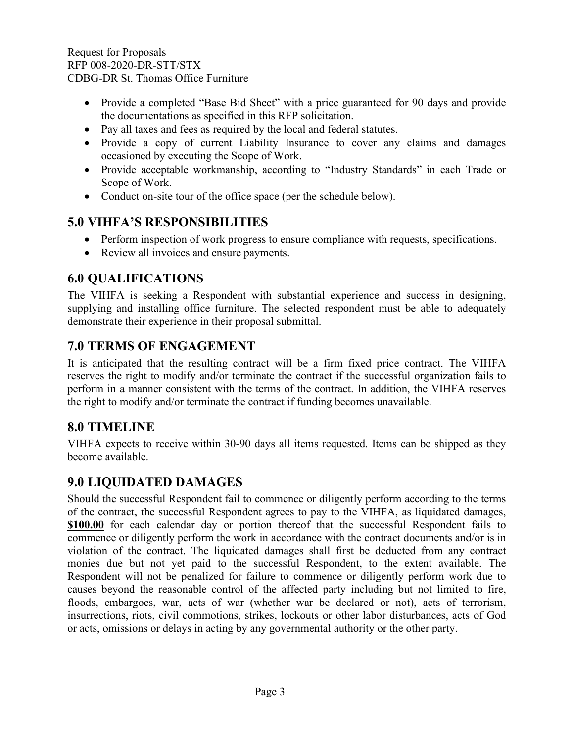- Provide a completed "Base Bid Sheet" with a price guaranteed for 90 days and provide the documentations as specified in this RFP solicitation.
- Pay all taxes and fees as required by the local and federal statutes.
- Provide a copy of current Liability Insurance to cover any claims and damages occasioned by executing the Scope of Work.
- Provide acceptable workmanship, according to "Industry Standards" in each Trade or Scope of Work.
- <span id="page-4-0"></span>• Conduct on-site tour of the office space (per the schedule below).

## **5.0 VIHFA'S RESPONSIBILITIES**

- Perform inspection of work progress to ensure compliance with requests, specifications.
- <span id="page-4-1"></span>• Review all invoices and ensure payments.

## **6.0 QUALIFICATIONS**

The VIHFA is seeking a Respondent with substantial experience and success in designing, supplying and installing office furniture. The selected respondent must be able to adequately demonstrate their experience in their proposal submittal.

## <span id="page-4-2"></span>**7.0 TERMS OF ENGAGEMENT**

It is anticipated that the resulting contract will be a firm fixed price contract. The VIHFA reserves the right to modify and/or terminate the contract if the successful organization fails to perform in a manner consistent with the terms of the contract. In addition, the VIHFA reserves the right to modify and/or terminate the contract if funding becomes unavailable.

## <span id="page-4-3"></span>**8.0 TIMELINE**

VIHFA expects to receive within 30-90 days all items requested. Items can be shipped as they become available.

## <span id="page-4-4"></span>**9.0 LIQUIDATED DAMAGES**

Should the successful Respondent fail to commence or diligently perform according to the terms of the contract, the successful Respondent agrees to pay to the VIHFA, as liquidated damages, **\$100.00** for each calendar day or portion thereof that the successful Respondent fails to commence or diligently perform the work in accordance with the contract documents and/or is in violation of the contract. The liquidated damages shall first be deducted from any contract monies due but not yet paid to the successful Respondent, to the extent available. The Respondent will not be penalized for failure to commence or diligently perform work due to causes beyond the reasonable control of the affected party including but not limited to fire, floods, embargoes, war, acts of war (whether war be declared or not), acts of terrorism, insurrections, riots, civil commotions, strikes, lockouts or other labor disturbances, acts of God or acts, omissions or delays in acting by any governmental authority or the other party.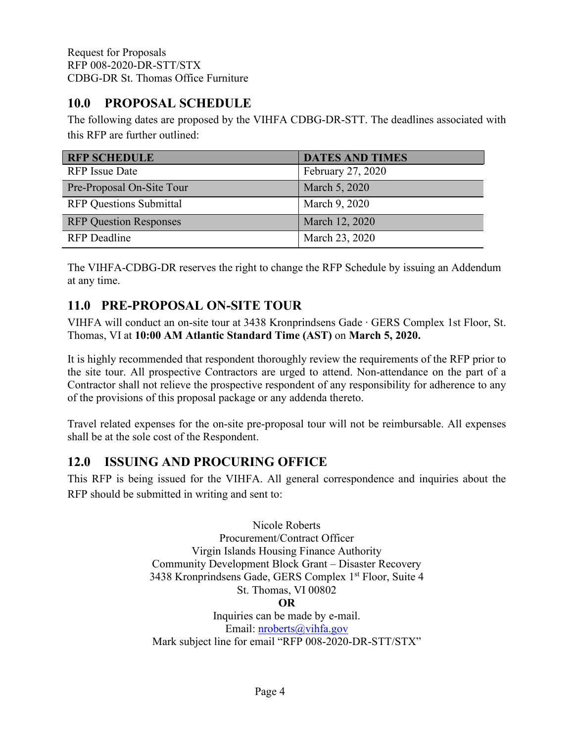## <span id="page-5-0"></span>**10.0 PROPOSAL SCHEDULE**

The following dates are proposed by the VIHFA CDBG-DR-STT. The deadlines associated with this RFP are further outlined:

| <b>RFP SCHEDULE</b>            | <b>DATES AND TIMES</b> |
|--------------------------------|------------------------|
| <b>RFP</b> Issue Date          | February 27, 2020      |
| Pre-Proposal On-Site Tour      | March 5, 2020          |
| <b>RFP Questions Submittal</b> | March 9, 2020          |
| <b>RFP Question Responses</b>  | March 12, 2020         |
| <b>RFP</b> Deadline            | March 23, 2020         |

The VIHFA-CDBG-DR reserves the right to change the RFP Schedule by issuing an Addendum at any time.

## <span id="page-5-1"></span>**11.0 PRE-PROPOSAL ON-SITE TOUR**

VIHFA will conduct an on-site tour at 3438 Kronprindsens Gade ∙ GERS Complex 1st Floor, St. Thomas, VI at **10:00 AM Atlantic Standard Time (AST)** on **March 5, 2020.**

It is highly recommended that respondent thoroughly review the requirements of the RFP prior to the site tour. All prospective Contractors are urged to attend. Non-attendance on the part of a Contractor shall not relieve the prospective respondent of any responsibility for adherence to any of the provisions of this proposal package or any addenda thereto.

Travel related expenses for the on-site pre-proposal tour will not be reimbursable. All expenses shall be at the sole cost of the Respondent.

## <span id="page-5-2"></span>**12.0 ISSUING AND PROCURING OFFICE**

This RFP is being issued for the VIHFA. All general correspondence and inquiries about the RFP should be submitted in writing and sent to:

> Nicole Roberts Procurement/Contract Officer Virgin Islands Housing Finance Authority Community Development Block Grant – Disaster Recovery 3438 Kronprindsens Gade, GERS Complex 1<sup>st</sup> Floor, Suite 4 St. Thomas, VI 00802 **OR** Inquiries can be made by e-mail. Email: [nroberts@vihfa.gov](mailto:nroberts@vihfa.gov) Mark subject line for email "RFP 008-2020-DR-STT/STX"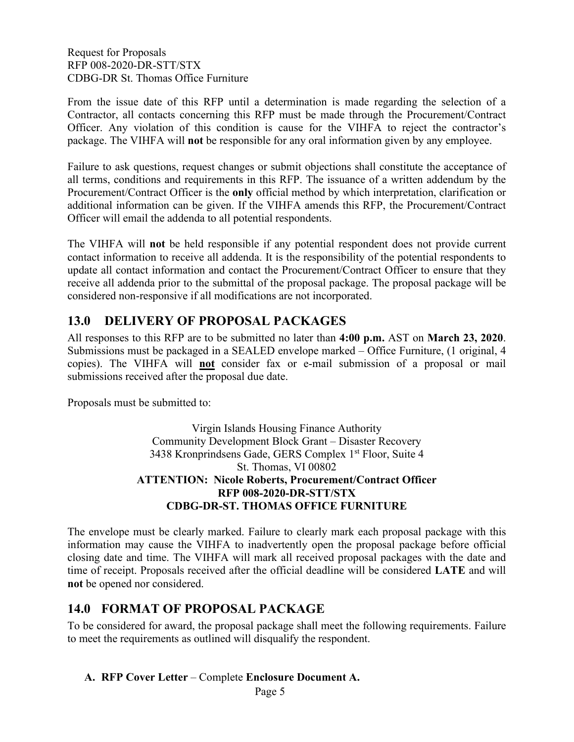From the issue date of this RFP until a determination is made regarding the selection of a Contractor, all contacts concerning this RFP must be made through the Procurement/Contract Officer. Any violation of this condition is cause for the VIHFA to reject the contractor's package. The VIHFA will **not** be responsible for any oral information given by any employee.

Failure to ask questions, request changes or submit objections shall constitute the acceptance of all terms, conditions and requirements in this RFP. The issuance of a written addendum by the Procurement/Contract Officer is the **only** official method by which interpretation, clarification or additional information can be given. If the VIHFA amends this RFP, the Procurement/Contract Officer will email the addenda to all potential respondents.

The VIHFA will **not** be held responsible if any potential respondent does not provide current contact information to receive all addenda. It is the responsibility of the potential respondents to update all contact information and contact the Procurement/Contract Officer to ensure that they receive all addenda prior to the submittal of the proposal package. The proposal package will be considered non-responsive if all modifications are not incorporated.

## <span id="page-6-0"></span>**13.0 DELIVERY OF PROPOSAL PACKAGES**

All responses to this RFP are to be submitted no later than **4:00 p.m.** AST on **March 23, 2020**. Submissions must be packaged in a SEALED envelope marked – Office Furniture, (1 original, 4 copies). The VIHFA will **not** consider fax or e-mail submission of a proposal or mail submissions received after the proposal due date.

Proposals must be submitted to:

Virgin Islands Housing Finance Authority Community Development Block Grant – Disaster Recovery 3438 Kronprindsens Gade, GERS Complex 1<sup>st</sup> Floor, Suite 4 St. Thomas, VI 00802 **ATTENTION: Nicole Roberts, Procurement/Contract Officer RFP 008-2020-DR-STT/STX CDBG-DR-ST. THOMAS OFFICE FURNITURE**

The envelope must be clearly marked. Failure to clearly mark each proposal package with this information may cause the VIHFA to inadvertently open the proposal package before official closing date and time. The VIHFA will mark all received proposal packages with the date and time of receipt. Proposals received after the official deadline will be considered **LATE** and will **not** be opened nor considered.

## <span id="page-6-1"></span>**14.0 FORMAT OF PROPOSAL PACKAGE**

To be considered for award, the proposal package shall meet the following requirements. Failure to meet the requirements as outlined will disqualify the respondent.

### **A. RFP Cover Letter** – Complete **Enclosure Document A.**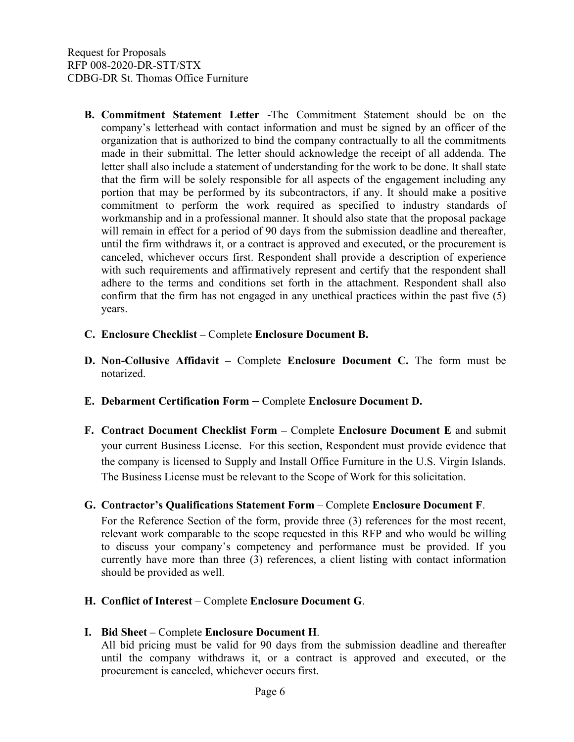- **B. Commitment Statement Letter** -The Commitment Statement should be on the company's letterhead with contact information and must be signed by an officer of the organization that is authorized to bind the company contractually to all the commitments made in their submittal. The letter should acknowledge the receipt of all addenda. The letter shall also include a statement of understanding for the work to be done. It shall state that the firm will be solely responsible for all aspects of the engagement including any portion that may be performed by its subcontractors, if any. It should make a positive commitment to perform the work required as specified to industry standards of workmanship and in a professional manner. It should also state that the proposal package will remain in effect for a period of 90 days from the submission deadline and thereafter, until the firm withdraws it, or a contract is approved and executed, or the procurement is canceled, whichever occurs first. Respondent shall provide a description of experience with such requirements and affirmatively represent and certify that the respondent shall adhere to the terms and conditions set forth in the attachment. Respondent shall also confirm that the firm has not engaged in any unethical practices within the past five (5) years.
- **C. Enclosure Checklist –** Complete **Enclosure Document B.**
- **D. Non-Collusive Affidavit –** Complete **Enclosure Document C.** The form must be notarized.
- **E. Debarment Certification Form –** Complete **Enclosure Document D.**
- **F. Contract Document Checklist Form –** Complete **Enclosure Document E** and submit your current Business License. For this section, Respondent must provide evidence that the company is licensed to Supply and Install Office Furniture in the U.S. Virgin Islands. The Business License must be relevant to the Scope of Work for this solicitation.
- **G. Contractor's Qualifications Statement Form** Complete **Enclosure Document F**.

For the Reference Section of the form, provide three (3) references for the most recent, relevant work comparable to the scope requested in this RFP and who would be willing to discuss your company's competency and performance must be provided. If you currently have more than three (3) references, a client listing with contact information should be provided as well.

- **H. Conflict of Interest** Complete **Enclosure Document G**.
- **I. Bid Sheet –** Complete **Enclosure Document H**.

All bid pricing must be valid for 90 days from the submission deadline and thereafter until the company withdraws it, or a contract is approved and executed, or the procurement is canceled, whichever occurs first.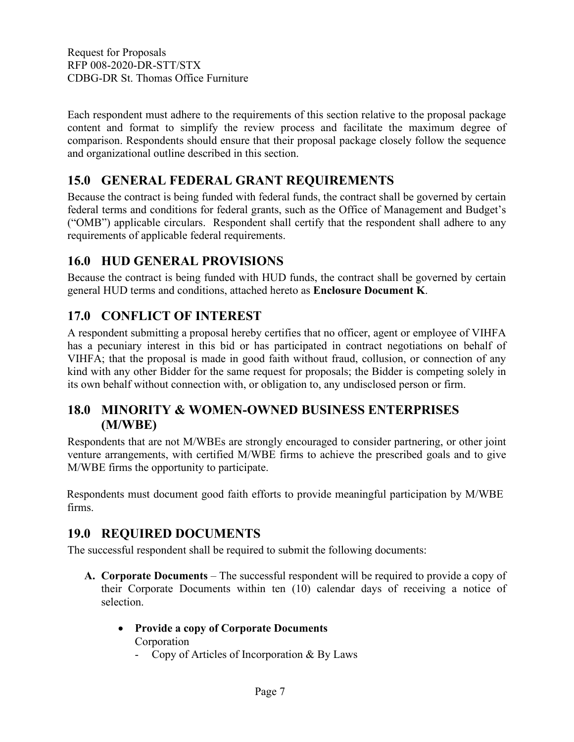Each respondent must adhere to the requirements of this section relative to the proposal package content and format to simplify the review process and facilitate the maximum degree of comparison. Respondents should ensure that their proposal package closely follow the sequence and organizational outline described in this section.

## <span id="page-8-0"></span>**15.0 GENERAL FEDERAL GRANT REQUIREMENTS**

Because the contract is being funded with federal funds, the contract shall be governed by certain federal terms and conditions for federal grants, such as the Office of Management and Budget's ("OMB") applicable circulars. Respondent shall certify that the respondent shall adhere to any requirements of applicable federal requirements.

## <span id="page-8-1"></span>**16.0 HUD GENERAL PROVISIONS**

Because the contract is being funded with HUD funds, the contract shall be governed by certain general HUD terms and conditions, attached hereto as **Enclosure Document K**.

## <span id="page-8-2"></span>**17.0 CONFLICT OF INTEREST**

A respondent submitting a proposal hereby certifies that no officer, agent or employee of VIHFA has a pecuniary interest in this bid or has participated in contract negotiations on behalf of VIHFA; that the proposal is made in good faith without fraud, collusion, or connection of any kind with any other Bidder for the same request for proposals; the Bidder is competing solely in its own behalf without connection with, or obligation to, any undisclosed person or firm.

## <span id="page-8-3"></span>**18.0 MINORITY & WOMEN-OWNED BUSINESS ENTERPRISES (M/WBE)**

Respondents that are not M/WBEs are strongly encouraged to consider partnering, or other joint venture arrangements, with certified M/WBE firms to achieve the prescribed goals and to give M/WBE firms the opportunity to participate.

Respondents must document good faith efforts [t](http://www.ogs.ny.gov/BU/DC/Docs/PDF/GoodFaithEfforts143Point8.pdf)o provide meaningful participation by M/WBE firms.

## <span id="page-8-4"></span>**19.0 REQUIRED DOCUMENTS**

The successful respondent shall be required to submit the following documents:

- **A. Corporate Documents** The successful respondent will be required to provide a copy of their Corporate Documents within ten (10) calendar days of receiving a notice of selection.
	- **Provide a copy of Corporate Documents** Corporation
		- Copy of Articles of Incorporation & By Laws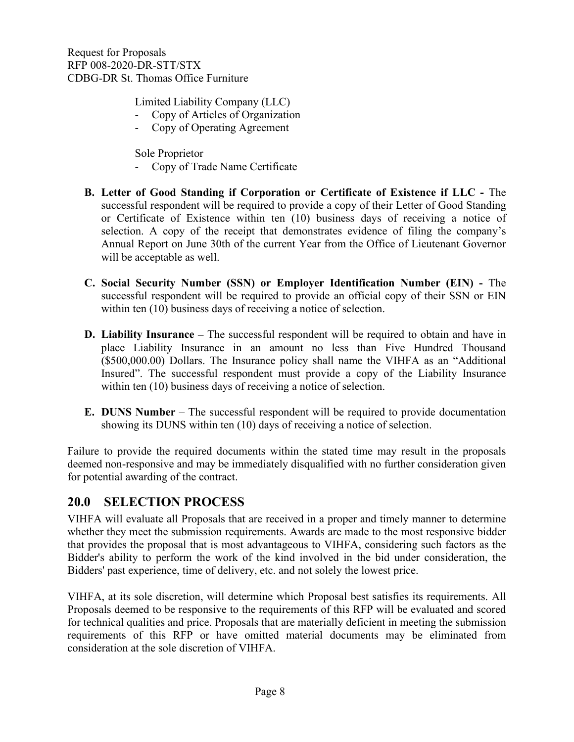Limited Liability Company (LLC)

- Copy of Articles of Organization
- Copy of Operating Agreement

Sole Proprietor

- Copy of Trade Name Certificate
- **B. Letter of Good Standing if Corporation or Certificate of Existence if LLC -** The successful respondent will be required to provide a copy of their Letter of Good Standing or Certificate of Existence within ten (10) business days of receiving a notice of selection. A copy of the receipt that demonstrates evidence of filing the company's Annual Report on June 30th of the current Year from the Office of Lieutenant Governor will be acceptable as well.
- **C. Social Security Number (SSN) or Employer Identification Number (EIN) -** The successful respondent will be required to provide an official copy of their SSN or EIN within ten (10) business days of receiving a notice of selection.
- **D. Liability Insurance –** The successful respondent will be required to obtain and have in place Liability Insurance in an amount no less than Five Hundred Thousand (\$500,000.00) Dollars. The Insurance policy shall name the VIHFA as an "Additional Insured". The successful respondent must provide a copy of the Liability Insurance within ten (10) business days of receiving a notice of selection.
- **E. DUNS Number** The successful respondent will be required to provide documentation showing its DUNS within ten (10) days of receiving a notice of selection.

Failure to provide the required documents within the stated time may result in the proposals deemed non-responsive and may be immediately disqualified with no further consideration given for potential awarding of the contract.

## <span id="page-9-0"></span>**20.0 SELECTION PROCESS**

VIHFA will evaluate all Proposals that are received in a proper and timely manner to determine whether they meet the submission requirements. Awards are made to the most responsive bidder that provides the proposal that is most advantageous to VIHFA, considering such factors as the Bidder's ability to perform the work of the kind involved in the bid under consideration, the Bidders' past experience, time of delivery, etc. and not solely the lowest price.

VIHFA, at its sole discretion, will determine which Proposal best satisfies its requirements. All Proposals deemed to be responsive to the requirements of this RFP will be evaluated and scored for technical qualities and price. Proposals that are materially deficient in meeting the submission requirements of this RFP or have omitted material documents may be eliminated from consideration at the sole discretion of VIHFA.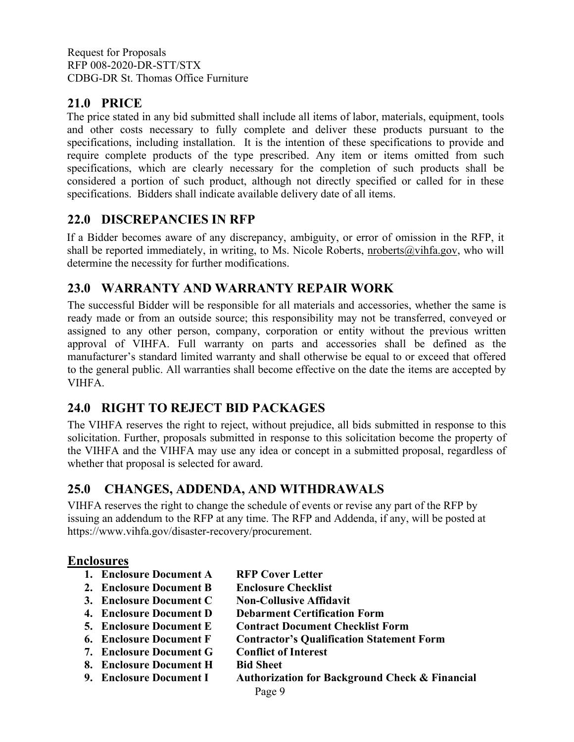## <span id="page-10-0"></span>**21.0 PRICE**

The price stated in any bid submitted shall include all items of labor, materials, equipment, tools and other costs necessary to fully complete and deliver these products pursuant to the specifications, including installation. It is the intention of these specifications to provide and require complete products of the type prescribed. Any item or items omitted from such specifications, which are clearly necessary for the completion of such products shall be considered a portion of such product, although not directly specified or called for in these specifications. Bidders shall indicate available delivery date of all items.

## <span id="page-10-1"></span>**22.0 DISCREPANCIES IN RFP**

If a Bidder becomes aware of any discrepancy, ambiguity, or error of omission in the RFP, it shall be reported immediately, in writing, to Ms. Nicole Roberts, nroberts@vihfa.gov, who will determine the necessity for further modifications.

## <span id="page-10-2"></span>**23.0 WARRANTY AND WARRANTY REPAIR WORK**

The successful Bidder will be responsible for all materials and accessories, whether the same is ready made or from an outside source; this responsibility may not be transferred, conveyed or assigned to any other person, company, corporation or entity without the previous written approval of VIHFA. Full warranty on parts and accessories shall be defined as the manufacturer's standard limited warranty and shall otherwise be equal to or exceed that offered to the general public. All warranties shall become effective on the date the items are accepted by VIHFA.

## <span id="page-10-3"></span>**24.0 RIGHT TO REJECT BID PACKAGES**

The VIHFA reserves the right to reject, without prejudice, all bids submitted in response to this solicitation. Further, proposals submitted in response to this solicitation become the property of the VIHFA and the VIHFA may use any idea or concept in a submitted proposal, regardless of whether that proposal is selected for award.

## <span id="page-10-4"></span>**25.0 CHANGES, ADDENDA, AND WITHDRAWALS**

VIHFA reserves the right to change the schedule of events or revise any part of the RFP by issuing an addendum to the RFP at any time. The RFP and Addenda, if any, will be posted at https://www.vihfa.gov/disaster-recovery/procurement.

### **Enclosures**

- **1. Enclosure Document A RFP Cover Letter**
- **2. Enclosure Document B Enclosure Checklist**
- 
- **3. Enclosure Document C Non-Collusive Affidavit 4. Enclosure Document D Debarment Certification Form**
- **5. Enclosure Document E Contract Document Checklist Form**
- **6. Enclosure Document F Contractor's Qualification Statement Form**
- **7. Enclosure Document G Conflict of Interest**
- **8. Enclosure Document H Bid Sheet**
- **9. Enclosure Document I Authorization for Background Check & Financial**
	- Page 9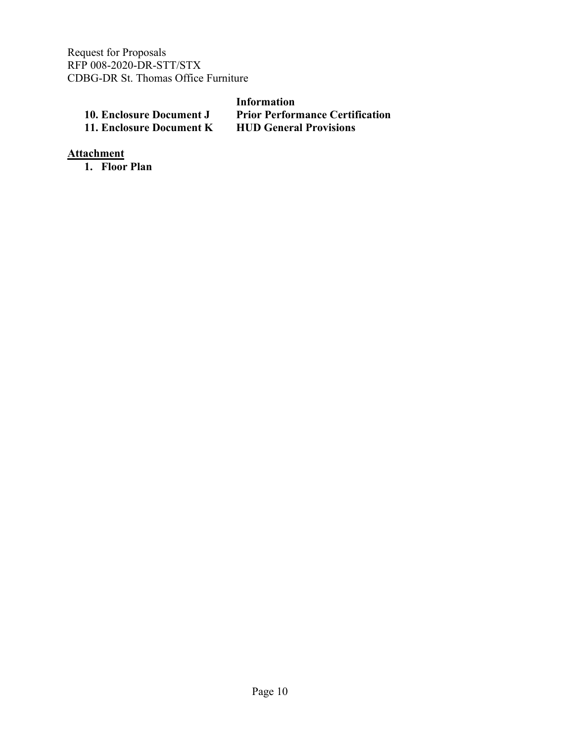|                          | Information                            |
|--------------------------|----------------------------------------|
| 10. Enclosure Document J | <b>Prior Performance Certification</b> |
| 11. Enclosure Document K | <b>HUD General Provisions</b>          |

**Attachment**

**1. Floor Plan**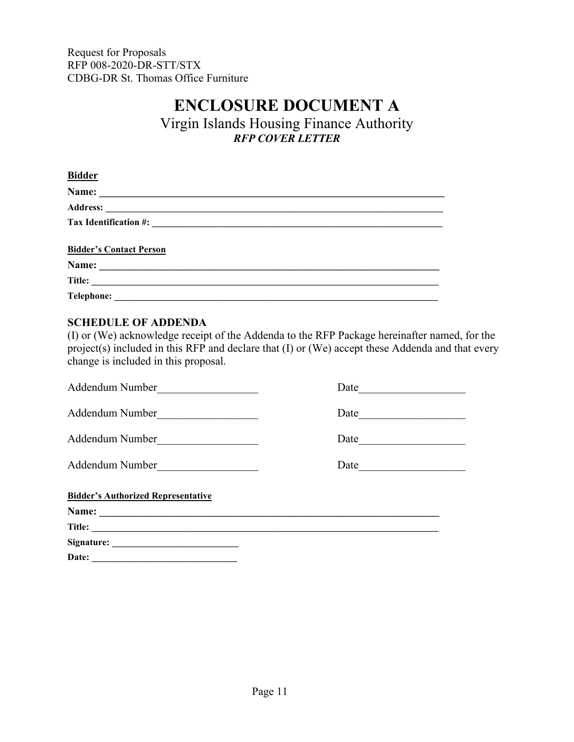## **ENCLOSURE DOCUMENT A**

Virgin Islands Housing Finance Authority *RFP COVER LETTER*

<span id="page-12-0"></span>

| <b>Bidder</b>                  |
|--------------------------------|
|                                |
|                                |
|                                |
| <b>Bidder's Contact Person</b> |
|                                |
| Title:                         |
| <b>Telephone:</b>              |

### <span id="page-12-1"></span>**SCHEDULE OF ADDENDA**

(I) or (We) acknowledge receipt of the Addenda to the RFP Package hereinafter named, for the project(s) included in this RFP and declare that (I) or (We) accept these Addenda and that every change is included in this proposal.

| Addendum Number                           | Date |  |  |  |  |
|-------------------------------------------|------|--|--|--|--|
| Addendum Number                           | Date |  |  |  |  |
| Addendum Number                           | Date |  |  |  |  |
| Addendum Number                           | Date |  |  |  |  |
| <b>Bidder's Authorized Representative</b> |      |  |  |  |  |
|                                           |      |  |  |  |  |
|                                           |      |  |  |  |  |
|                                           |      |  |  |  |  |
| Date:                                     |      |  |  |  |  |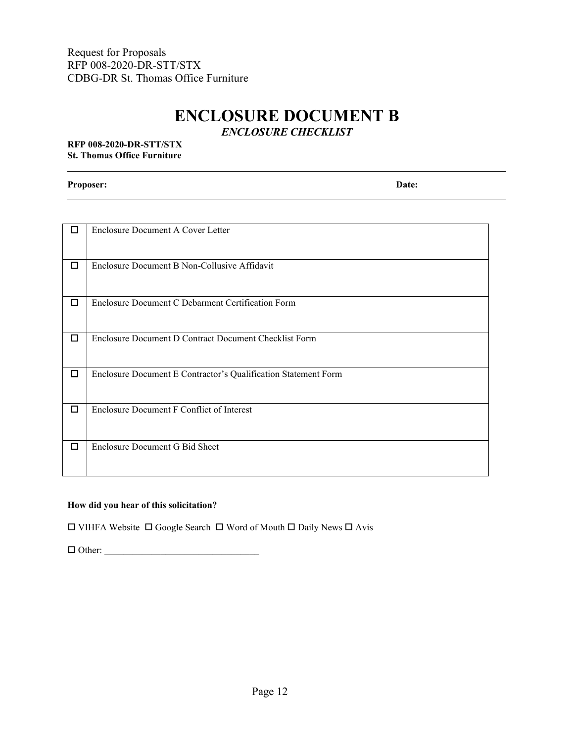## **ENCLOSURE DOCUMENT B** *ENCLOSURE CHECKLIST*

#### <span id="page-13-0"></span>**RFP 008-2020-DR-STT/STX St. Thomas Office Furniture**

**Proposer: Date:**

| <b>Enclosure Document A Cover Letter</b>                       |
|----------------------------------------------------------------|
|                                                                |
|                                                                |
| Enclosure Document B Non-Collusive Affidavit                   |
|                                                                |
| Enclosure Document C Debarment Certification Form              |
|                                                                |
|                                                                |
| Enclosure Document D Contract Document Checklist Form          |
|                                                                |
|                                                                |
| Enclosure Document E Contractor's Qualification Statement Form |
|                                                                |
|                                                                |
| Enclosure Document F Conflict of Interest                      |
|                                                                |
|                                                                |
|                                                                |
| Enclosure Document G Bid Sheet                                 |
|                                                                |
|                                                                |
|                                                                |

### **How did you hear of this solicitation?**

 $\square$  VIHFA Website  $\square$  Google Search  $\square$  Word of Mouth  $\square$  Daily News  $\square$  Avis

Other: \_\_\_\_\_\_\_\_\_\_\_\_\_\_\_\_\_\_\_\_\_\_\_\_\_\_\_\_\_\_\_\_\_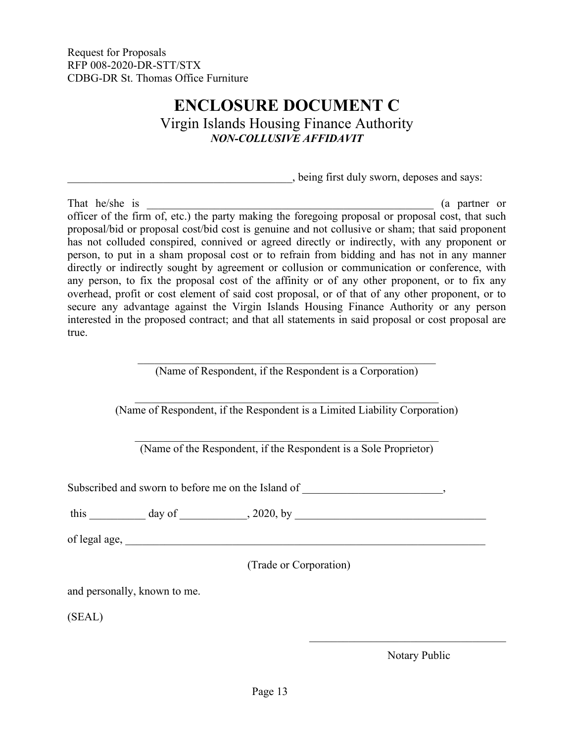## **ENCLOSURE DOCUMENT C** Virgin Islands Housing Finance Authority *NON-COLLUSIVE AFFIDAVIT*

\_\_\_\_\_\_\_\_\_\_\_\_\_\_\_\_\_\_\_\_\_\_\_\_\_\_\_\_\_\_\_\_\_\_\_\_\_\_\_\_, being first duly sworn, deposes and says:

<span id="page-14-0"></span>That he/she is  $($ a partner or officer of the firm of, etc.) the party making the foregoing proposal or proposal cost, that such proposal/bid or proposal cost/bid cost is genuine and not collusive or sham; that said proponent has not colluded conspired, connived or agreed directly or indirectly, with any proponent or person, to put in a sham proposal cost or to refrain from bidding and has not in any manner directly or indirectly sought by agreement or collusion or communication or conference, with any person, to fix the proposal cost of the affinity or of any other proponent, or to fix any overhead, profit or cost element of said cost proposal, or of that of any other proponent, or to secure any advantage against the Virgin Islands Housing Finance Authority or any person interested in the proposed contract; and that all statements in said proposal or cost proposal are true.

> \_\_\_\_\_\_\_\_\_\_\_\_\_\_\_\_\_\_\_\_\_\_\_\_\_\_\_\_\_\_\_\_\_\_\_\_\_\_\_\_\_\_\_\_\_\_\_\_\_\_\_\_\_ (Name of Respondent, if the Respondent is a Corporation)

\_\_\_\_\_\_\_\_\_\_\_\_\_\_\_\_\_\_\_\_\_\_\_\_\_\_\_\_\_\_\_\_\_\_\_\_\_\_\_\_\_\_\_\_\_\_\_\_\_\_\_\_\_\_ (Name of Respondent, if the Respondent is a Limited Liability Corporation)

(Name of the Respondent, if the Respondent is a Sole Proprietor)

Subscribed and sworn to before me on the Island of  $\cdot$ 

this day of  $\qquad \qquad$ , 2020, by

of legal age,

(Trade or Corporation)

and personally, known to me.

(SEAL)

Notary Public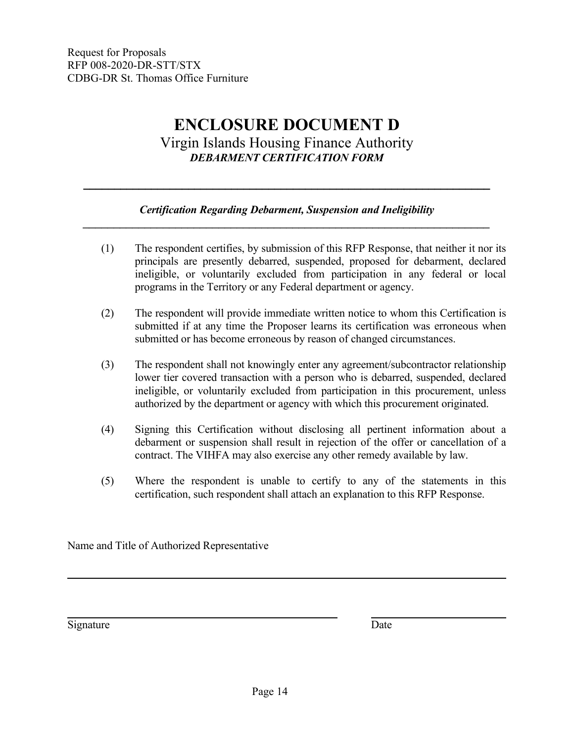## **ENCLOSURE DOCUMENT D** Virgin Islands Housing Finance Authority *DEBARMENT CERTIFICATION FORM*

### *Certification Regarding Debarment, Suspension and Ineligibility \_\_\_\_\_\_\_\_\_\_\_\_\_\_\_\_\_\_\_\_\_\_\_\_\_\_\_\_\_\_\_\_\_\_\_\_\_\_\_\_\_\_\_\_\_\_\_\_\_\_\_\_\_\_\_\_\_\_\_\_\_\_\_\_\_\_*

<span id="page-15-0"></span>*\_\_\_\_\_\_\_\_\_\_\_\_\_\_\_\_\_\_\_\_\_\_\_\_\_\_\_\_\_\_\_\_\_\_\_\_\_\_\_\_\_\_\_\_\_\_\_\_\_\_\_\_\_\_\_\_\_\_\_\_\_\_\_\_\_\_*

- (1) The respondent certifies, by submission of this RFP Response, that neither it nor its principals are presently debarred, suspended, proposed for debarment, declared ineligible, or voluntarily excluded from participation in any federal or local programs in the Territory or any Federal department or agency.
- (2) The respondent will provide immediate written notice to whom this Certification is submitted if at any time the Proposer learns its certification was erroneous when submitted or has become erroneous by reason of changed circumstances.
- (3) The respondent shall not knowingly enter any agreement/subcontractor relationship lower tier covered transaction with a person who is debarred, suspended, declared ineligible, or voluntarily excluded from participation in this procurement, unless authorized by the department or agency with which this procurement originated.
- (4) Signing this Certification without disclosing all pertinent information about a debarment or suspension shall result in rejection of the offer or cancellation of a contract. The VIHFA may also exercise any other remedy available by law.
- (5) Where the respondent is unable to certify to any of the statements in this certification, such respondent shall attach an explanation to this RFP Response.

Name and Title of Authorized Representative

Signature Date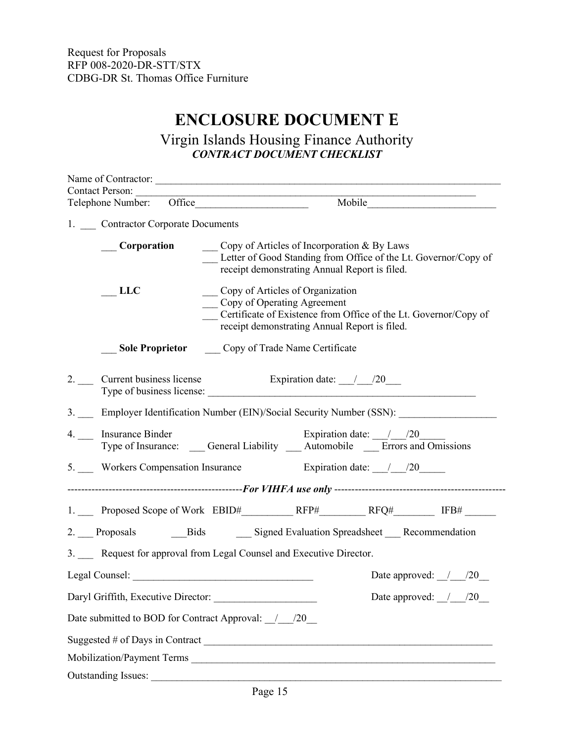# **ENCLOSURE DOCUMENT E**

## Virgin Islands Housing Finance Authority *CONTRACT DOCUMENT CHECKLIST*

<span id="page-16-0"></span>

| <b>Contact Person:</b>            |             | Telephone Number: Office<br>Mobile                                                                                                                                                        |
|-----------------------------------|-------------|-------------------------------------------------------------------------------------------------------------------------------------------------------------------------------------------|
|                                   |             |                                                                                                                                                                                           |
| 1. Contractor Corporate Documents |             |                                                                                                                                                                                           |
|                                   | Corporation | Copy of Articles of Incorporation & By Laws<br>Letter of Good Standing from Office of the Lt. Governor/Copy of<br>receipt demonstrating Annual Report is filed.                           |
| <b>LLC</b>                        |             | _ Copy of Articles of Organization<br>__ Copy of Operating Agreement<br>Certificate of Existence from Office of the Lt. Governor/Copy of<br>receipt demonstrating Annual Report is filed. |
|                                   |             | <b>Sole Proprietor</b> Copy of Trade Name Certificate                                                                                                                                     |
|                                   |             | 2. Current business license Expiration date: 1.000<br>Type of business license:                                                                                                           |
|                                   |             | 3. Employer Identification Number (EIN)/Social Security Number (SSN):                                                                                                                     |
| 4. __ Insurance Binder            |             | Expiration date: $\frac{1}{20}$<br>Type of Insurance: ____ General Liability ____ Automobile ____ Errors and Omissions                                                                    |
|                                   |             | 5. Workers Compensation Insurance Expiration date: 120                                                                                                                                    |
|                                   |             |                                                                                                                                                                                           |
|                                   |             |                                                                                                                                                                                           |
|                                   |             | 2. Proposals Bids Bigned Evaluation Spreadsheet Recommendation                                                                                                                            |
|                                   |             | 3. Request for approval from Legal Counsel and Executive Director.                                                                                                                        |
|                                   |             | Date approved: $\frac{1}{20}$                                                                                                                                                             |
|                                   |             | Date approved: / /20                                                                                                                                                                      |
|                                   |             | Date submitted to BOD for Contract Approval: / / /20                                                                                                                                      |
|                                   |             |                                                                                                                                                                                           |
|                                   |             |                                                                                                                                                                                           |
| <b>Outstanding Issues:</b>        |             |                                                                                                                                                                                           |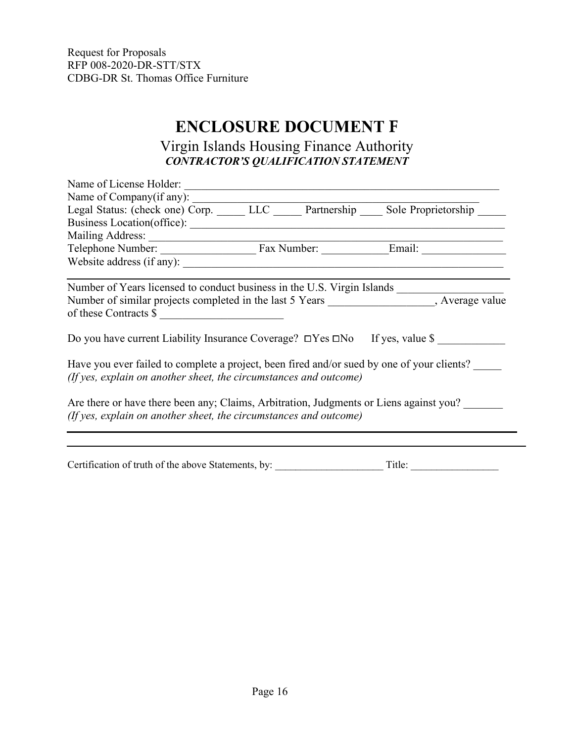# **ENCLOSURE DOCUMENT F**

## Virgin Islands Housing Finance Authority *CONTRACTOR'S QUALIFICATION STATEMENT*

<span id="page-17-0"></span>

| Name of License Holder:                                                                                                                                         |  |  |
|-----------------------------------------------------------------------------------------------------------------------------------------------------------------|--|--|
| Name of Company(if any):                                                                                                                                        |  |  |
| Legal Status: (check one) Corp. LLC Partnership Sole Proprietorship                                                                                             |  |  |
|                                                                                                                                                                 |  |  |
|                                                                                                                                                                 |  |  |
|                                                                                                                                                                 |  |  |
| Website address (if any):                                                                                                                                       |  |  |
|                                                                                                                                                                 |  |  |
| Number of similar projects completed in the last 5 Years _________________, Average value<br>of these Contracts \$                                              |  |  |
| Do you have current Liability Insurance Coverage? □Yes □No If yes, value \$                                                                                     |  |  |
| Have you ever failed to complete a project, been fired and/or sued by one of your clients?<br>(If yes, explain on another sheet, the circumstances and outcome) |  |  |
| Are there or have there been any; Claims, Arbitration, Judgments or Liens against you?<br>(If yes, explain on another sheet, the circumstances and outcome)     |  |  |
|                                                                                                                                                                 |  |  |

Certification of truth of the above Statements, by: \_\_\_\_\_\_\_\_\_\_\_\_\_\_\_\_\_\_\_\_\_ Title: \_\_\_\_\_\_\_\_\_\_\_\_\_\_\_\_\_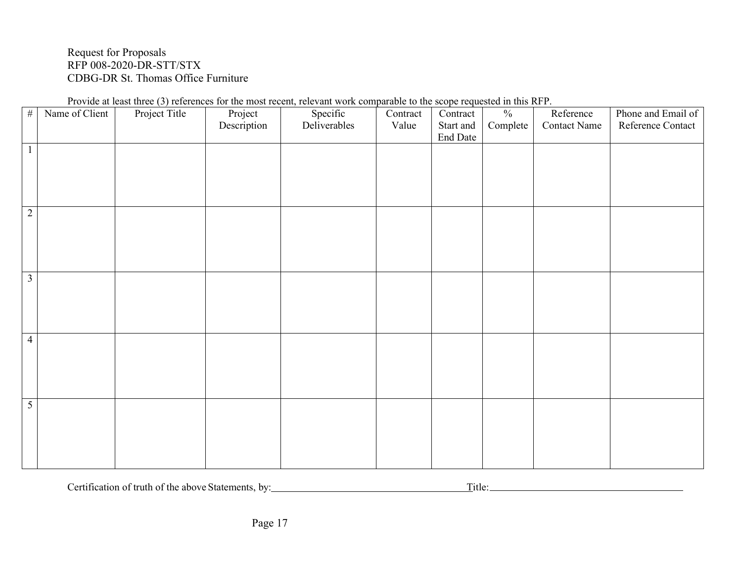| Provide at least three (3) references for the most recent, relevant work comparable to the scope requested in this RFP. |  |  |  |  |  |  |
|-------------------------------------------------------------------------------------------------------------------------|--|--|--|--|--|--|
|                                                                                                                         |  |  |  |  |  |  |

| $\#$           | Name of Client | Project Title | Project<br>Description | Specific<br>Deliverables | Contract<br>Value | Contract<br>Start and<br>End Date | $\frac{0}{0}$<br>Complete | Reference<br><b>Contact Name</b> | Phone and Email of<br>Reference Contact |
|----------------|----------------|---------------|------------------------|--------------------------|-------------------|-----------------------------------|---------------------------|----------------------------------|-----------------------------------------|
| $\mathbf{1}$   |                |               |                        |                          |                   |                                   |                           |                                  |                                         |
| $\overline{2}$ |                |               |                        |                          |                   |                                   |                           |                                  |                                         |
| $\mathfrak{Z}$ |                |               |                        |                          |                   |                                   |                           |                                  |                                         |
| $\overline{4}$ |                |               |                        |                          |                   |                                   |                           |                                  |                                         |
| 5              |                |               |                        |                          |                   |                                   |                           |                                  |                                         |

Certification of truth of the above Statements, by: Title: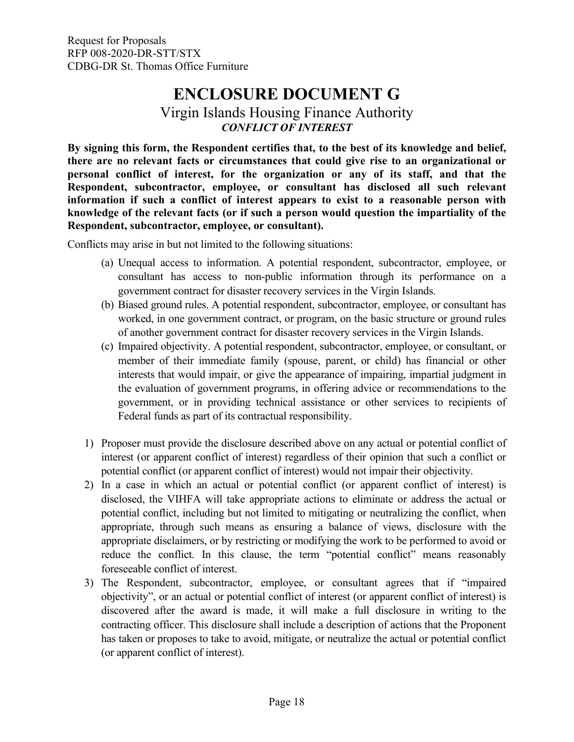## **ENCLOSURE DOCUMENT G**

## Virgin Islands Housing Finance Authority *CONFLICT OF INTEREST*

<span id="page-19-0"></span>**By signing this form, the Respondent certifies that, to the best of its knowledge and belief, there are no relevant facts or circumstances that could give rise to an organizational or personal conflict of interest, for the organization or any of its staff, and that the Respondent, subcontractor, employee, or consultant has disclosed all such relevant information if such a conflict of interest appears to exist to a reasonable person with knowledge of the relevant facts (or if such a person would question the impartiality of the Respondent, subcontractor, employee, or consultant).**

Conflicts may arise in but not limited to the following situations:

- (a) Unequal access to information. A potential respondent, subcontractor, employee, or consultant has access to non-public information through its performance on a government contract for disaster recovery services in the Virgin Islands.
- (b) Biased ground rules. A potential respondent, subcontractor, employee, or consultant has worked, in one government contract, or program, on the basic structure or ground rules of another government contract for disaster recovery services in the Virgin Islands.
- (c) Impaired objectivity. A potential respondent, subcontractor, employee, or consultant, or member of their immediate family (spouse, parent, or child) has financial or other interests that would impair, or give the appearance of impairing, impartial judgment in the evaluation of government programs, in offering advice or recommendations to the government, or in providing technical assistance or other services to recipients of Federal funds as part of its contractual responsibility.
- 1) Proposer must provide the disclosure described above on any actual or potential conflict of interest (or apparent conflict of interest) regardless of their opinion that such a conflict or potential conflict (or apparent conflict of interest) would not impair their objectivity.
- 2) In a case in which an actual or potential conflict (or apparent conflict of interest) is disclosed, the VIHFA will take appropriate actions to eliminate or address the actual or potential conflict, including but not limited to mitigating or neutralizing the conflict, when appropriate, through such means as ensuring a balance of views, disclosure with the appropriate disclaimers, or by restricting or modifying the work to be performed to avoid or reduce the conflict. In this clause, the term "potential conflict" means reasonably foreseeable conflict of interest.
- 3) The Respondent, subcontractor, employee, or consultant agrees that if "impaired objectivity", or an actual or potential conflict of interest (or apparent conflict of interest) is discovered after the award is made, it will make a full disclosure in writing to the contracting officer. This disclosure shall include a description of actions that the Proponent has taken or proposes to take to avoid, mitigate, or neutralize the actual or potential conflict (or apparent conflict of interest).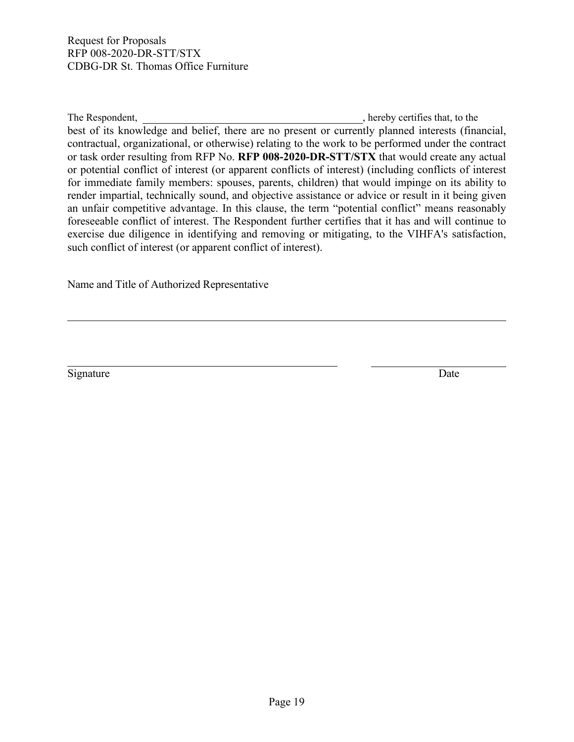The Respondent,  $\blacksquare$ , hereby certifies that, to the  $\blacksquare$ best of its knowledge and belief, there are no present or currently planned interests (financial, contractual, organizational, or otherwise) relating to the work to be performed under the contract or task order resulting from RFP No. **RFP 008-2020-DR-STT/STX** that would create any actual or potential conflict of interest (or apparent conflicts of interest) (including conflicts of interest for immediate family members: spouses, parents, children) that would impinge on its ability to render impartial, technically sound, and objective assistance or advice or result in it being given an unfair competitive advantage. In this clause, the term "potential conflict" means reasonably foreseeable conflict of interest. The Respondent further certifies that it has and will continue to exercise due diligence in identifying and removing or mitigating, to the VIHFA's satisfaction, such conflict of interest (or apparent conflict of interest).

Name and Title of Authorized Representative

Signature Date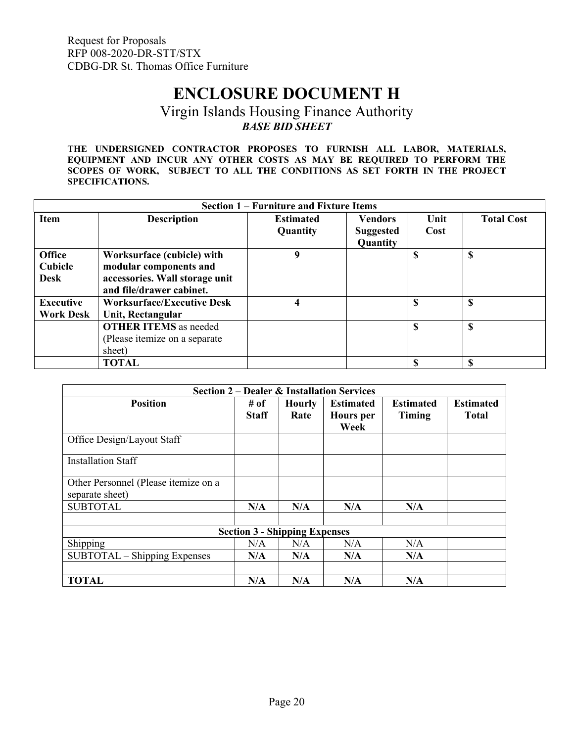## **ENCLOSURE DOCUMENT H**

## Virgin Islands Housing Finance Authority *BASE BID SHEET*

<span id="page-21-0"></span>**THE UNDERSIGNED CONTRACTOR PROPOSES TO FURNISH ALL LABOR, MATERIALS, EQUIPMENT AND INCUR ANY OTHER COSTS AS MAY BE REQUIRED TO PERFORM THE SCOPES OF WORK, SUBJECT TO ALL THE CONDITIONS AS SET FORTH IN THE PROJECT SPECIFICATIONS.**

|                                         | <b>Section 1 – Furniture and Fixture Items</b>                                                                     |                              |                                                |               |                   |  |  |  |  |
|-----------------------------------------|--------------------------------------------------------------------------------------------------------------------|------------------------------|------------------------------------------------|---------------|-------------------|--|--|--|--|
| <b>Item</b>                             | <b>Description</b>                                                                                                 | <b>Estimated</b><br>Quantity | <b>Vendors</b><br><b>Suggested</b><br>Quantity | Unit<br>Cost  | <b>Total Cost</b> |  |  |  |  |
| <b>Office</b><br>Cubicle<br><b>Desk</b> | Worksurface (cubicle) with<br>modular components and<br>accessories. Wall storage unit<br>and file/drawer cabinet. | 9                            |                                                | <sup>\$</sup> | $\mathbf S$       |  |  |  |  |
| <b>Executive</b><br><b>Work Desk</b>    | <b>Worksurface/Executive Desk</b><br>Unit, Rectangular                                                             | 4                            |                                                | S             | S                 |  |  |  |  |
|                                         | <b>OTHER ITEMS</b> as needed<br>(Please itemize on a separate<br>sheet)                                            |                              |                                                | \$            | $\mathbf{s}$      |  |  |  |  |
|                                         | <b>TOTAL</b>                                                                                                       |                              |                                                | \$.           | S                 |  |  |  |  |

| <b>Section 2 – Dealer &amp; Installation Services</b>   |                      |                                      |                                              |                            |                                  |  |  |  |
|---------------------------------------------------------|----------------------|--------------------------------------|----------------------------------------------|----------------------------|----------------------------------|--|--|--|
| <b>Position</b>                                         | # of<br><b>Staff</b> | <b>Hourly</b><br>Rate                | <b>Estimated</b><br><b>Hours</b> per<br>Week | <b>Estimated</b><br>Timing | <b>Estimated</b><br><b>Total</b> |  |  |  |
| Office Design/Layout Staff                              |                      |                                      |                                              |                            |                                  |  |  |  |
| <b>Installation Staff</b>                               |                      |                                      |                                              |                            |                                  |  |  |  |
| Other Personnel (Please itemize on a<br>separate sheet) |                      |                                      |                                              |                            |                                  |  |  |  |
| <b>SUBTOTAL</b>                                         | N/A                  | N/A                                  | N/A                                          | N/A                        |                                  |  |  |  |
|                                                         |                      | <b>Section 3 - Shipping Expenses</b> |                                              |                            |                                  |  |  |  |
| Shipping                                                | N/A                  | N/A                                  | N/A                                          | N/A                        |                                  |  |  |  |
| SUBTOTAL - Shipping Expenses                            | N/A                  | N/A                                  | N/A                                          | N/A                        |                                  |  |  |  |
| <b>TOTAL</b>                                            | N/A                  | N/A                                  | N/A                                          | N/A                        |                                  |  |  |  |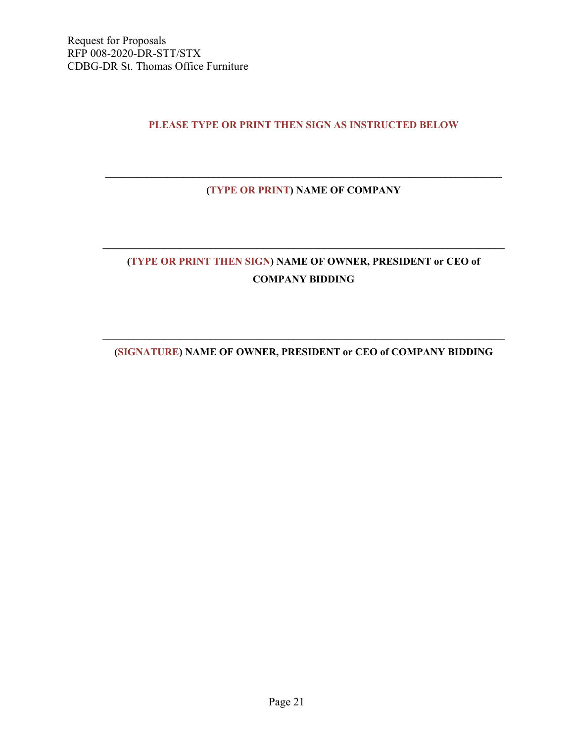### **PLEASE TYPE OR PRINT THEN SIGN AS INSTRUCTED BELOW**

## **\_\_\_\_\_\_\_\_\_\_\_\_\_\_\_\_\_\_\_\_\_\_\_\_\_\_\_\_\_\_\_\_\_\_\_\_\_\_\_\_\_\_\_\_\_\_\_\_\_\_\_\_\_\_\_\_\_\_\_\_\_\_\_\_\_\_\_\_\_\_\_\_\_\_\_\_\_ (TYPE OR PRINT) NAME OF COMPANY**

## **(TYPE OR PRINT THEN SIGN) NAME OF OWNER, PRESIDENT or CEO of COMPANY BIDDING**

**\_\_\_\_\_\_\_\_\_\_\_\_\_\_\_\_\_\_\_\_\_\_\_\_\_\_\_\_\_\_\_\_\_\_\_\_\_\_\_\_\_\_\_\_\_\_\_\_\_\_\_\_\_\_\_\_\_\_\_\_\_\_\_\_\_\_\_\_\_\_\_\_\_\_\_\_\_\_**

## **\_\_\_\_\_\_\_\_\_\_\_\_\_\_\_\_\_\_\_\_\_\_\_\_\_\_\_\_\_\_\_\_\_\_\_\_\_\_\_\_\_\_\_\_\_\_\_\_\_\_\_\_\_\_\_\_\_\_\_\_\_\_\_\_\_\_\_\_\_\_\_\_\_\_\_\_\_\_ (SIGNATURE) NAME OF OWNER, PRESIDENT or CEO of COMPANY BIDDING**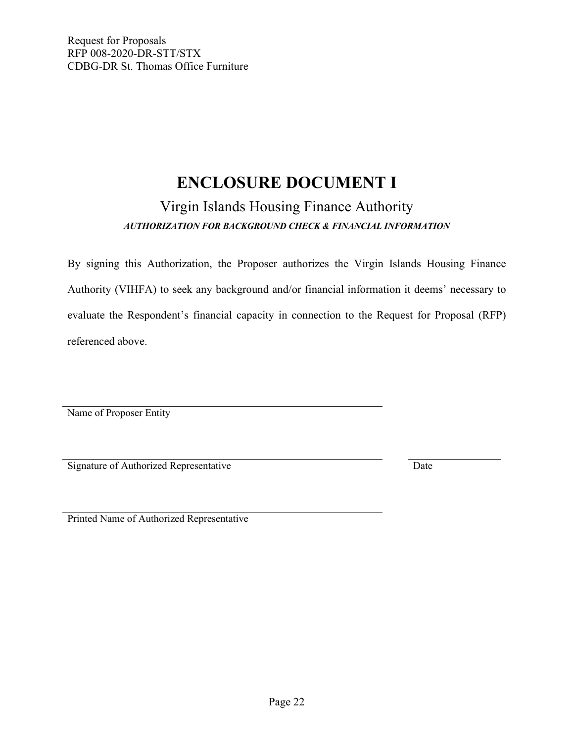# **ENCLOSURE DOCUMENT I**

## Virgin Islands Housing Finance Authority *AUTHORIZATION FOR BACKGROUND CHECK & FINANCIAL INFORMATION*

<span id="page-23-0"></span>By signing this Authorization, the Proposer authorizes the Virgin Islands Housing Finance Authority (VIHFA) to seek any background and/or financial information it deems' necessary to evaluate the Respondent's financial capacity in connection to the Request for Proposal (RFP) referenced above.

Name of Proposer Entity

Signature of Authorized Representative Date

Printed Name of Authorized Representative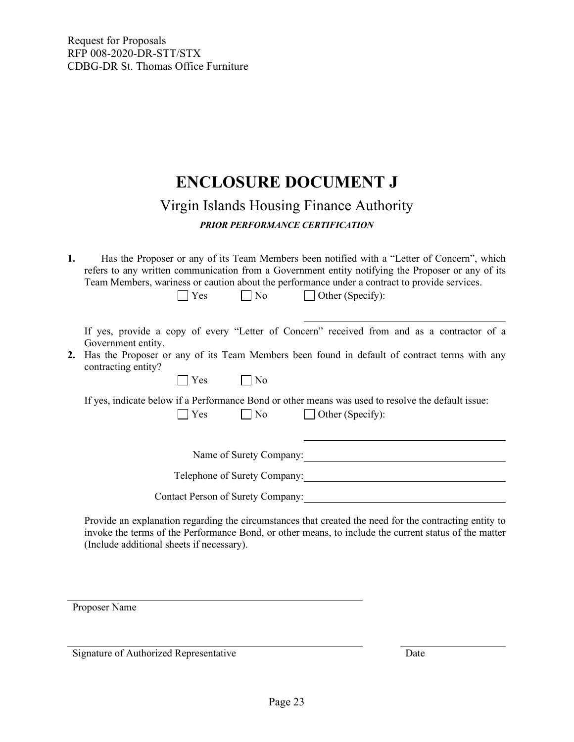## **ENCLOSURE DOCUMENT J**

## Virgin Islands Housing Finance Authority

*PRIOR PERFORMANCE CERTIFICATION*

<span id="page-24-0"></span>**1.** Has the Proposer or any of its Team Members been notified with a "Letter of Concern", which refers to any written communication from a Government entity notifying the Proposer or any of its Team Members, wariness or caution about the performance under a contract to provide services.

| $\Box$ Other (Specify):<br>$\log$<br>Yes                                                                                                                                                                                                   |
|--------------------------------------------------------------------------------------------------------------------------------------------------------------------------------------------------------------------------------------------|
| If yes, provide a copy of every "Letter of Concern" received from and as a contractor of a<br>Government entity.<br>2. Has the Proposer or any of its Team Members been found in default of contract terms with any<br>contracting entity? |
| Yes<br>No                                                                                                                                                                                                                                  |
| If yes, indicate below if a Performance Bond or other means was used to resolve the default issue:<br> Yes<br>$\vert$ No<br>$\Box$ Other (Specify):                                                                                        |
| Name of Surety Company:                                                                                                                                                                                                                    |
| Telephone of Surety Company:                                                                                                                                                                                                               |
| <b>Contact Person of Surety Company:</b>                                                                                                                                                                                                   |

Provide an explanation regarding the circumstances that created the need for the contracting entity to invoke the terms of the Performance Bond, or other means, to include the current status of the matter (Include additional sheets if necessary).

Proposer Name

Signature of Authorized Representative Date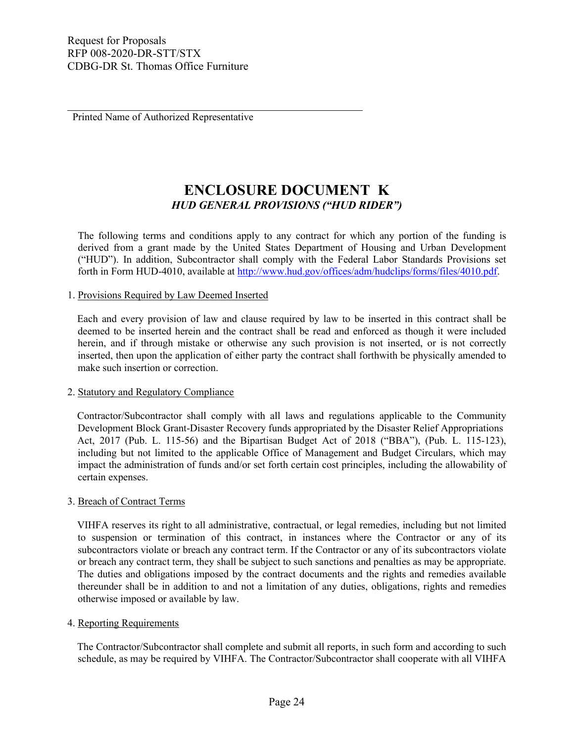Printed Name of Authorized Representative

## **ENCLOSURE DOCUMENT K** *HUD GENERAL PROVISIONS ("HUD RIDER")*

<span id="page-25-0"></span>The following terms and conditions apply to any contract for which any portion of the funding is derived from a grant made by the United States Department of Housing and Urban Development ("HUD"). In addition, Subcontractor shall comply with the Federal Labor Standards Provisions set forth in Form HUD-4010, available at [http://www.hud.gov/offices/adm/hudclips/forms/files/4010.pd](http://www.hud.gov/offices/adm/hudclips/forms/files/4010.pdf)f.

### 1. Provisions Required by Law Deemed Inserted

Each and every provision of law and clause required by law to be inserted in this contract shall be deemed to be inserted herein and the contract shall be read and enforced as though it were included herein, and if through mistake or otherwise any such provision is not inserted, or is not correctly inserted, then upon the application of either party the contract shall forthwith be physically amended to make such insertion or correction.

### 2. Statutory and Regulatory Compliance

Contractor/Subcontractor shall comply with all laws and regulations applicable to the Community Development Block Grant-Disaster Recovery funds appropriated by the Disaster Relief Appropriations Act, 2017 (Pub. L. 115-56) and the Bipartisan Budget Act of 2018 ("BBA"), (Pub. L. 115-123), including but not limited to the applicable Office of Management and Budget Circulars, which may impact the administration of funds and/or set forth certain cost principles, including the allowability of certain expenses.

### 3. Breach of Contract Terms

VIHFA reserves its right to all administrative, contractual, or legal remedies, including but not limited to suspension or termination of this contract, in instances where the Contractor or any of its subcontractors violate or breach any contract term. If the Contractor or any of its subcontractors violate or breach any contract term, they shall be subject to such sanctions and penalties as may be appropriate. The duties and obligations imposed by the contract documents and the rights and remedies available thereunder shall be in addition to and not a limitation of any duties, obligations, rights and remedies otherwise imposed or available by law.

### 4. Reporting Requirements

The Contractor/Subcontractor shall complete and submit all reports, in such form and according to such schedule, as may be required by VIHFA. The Contractor/Subcontractor shall cooperate with all VIHFA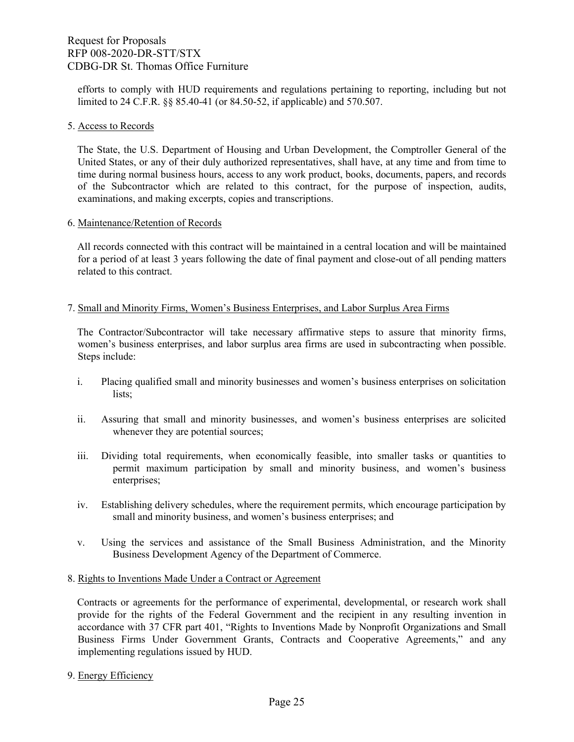efforts to comply with HUD requirements and regulations pertaining to reporting, including but not limited to 24 C.F.R. §§ 85.40-41 (or 84.50-52, if applicable) and 570.507.

#### 5. Access to Records

The State, the U.S. Department of Housing and Urban Development, the Comptroller General of the United States, or any of their duly authorized representatives, shall have, at any time and from time to time during normal business hours, access to any work product, books, documents, papers, and records of the Subcontractor which are related to this contract, for the purpose of inspection, audits, examinations, and making excerpts, copies and transcriptions.

#### 6. Maintenance/Retention of Records

All records connected with this contract will be maintained in a central location and will be maintained for a period of at least 3 years following the date of final payment and close-out of all pending matters related to this contract.

### 7. Small and Minority Firms, Women's Business Enterprises, and Labor Surplus Area Firms

The Contractor/Subcontractor will take necessary affirmative steps to assure that minority firms, women's business enterprises, and labor surplus area firms are used in subcontracting when possible. Steps include:

- i. Placing qualified small and minority businesses and women's business enterprises on solicitation lists;
- ii. Assuring that small and minority businesses, and women's business enterprises are solicited whenever they are potential sources;
- iii. Dividing total requirements, when economically feasible, into smaller tasks or quantities to permit maximum participation by small and minority business, and women's business enterprises;
- iv. Establishing delivery schedules, where the requirement permits, which encourage participation by small and minority business, and women's business enterprises; and
- v. Using the services and assistance of the Small Business Administration, and the Minority Business Development Agency of the Department of Commerce.
- 8. Rights to Inventions Made Under a Contract or Agreement

Contracts or agreements for the performance of experimental, developmental, or research work shall provide for the rights of the Federal Government and the recipient in any resulting invention in accordance with 37 CFR part 401, "Rights to Inventions Made by Nonprofit Organizations and Small Business Firms Under Government Grants, Contracts and Cooperative Agreements," and any implementing regulations issued by HUD.

9. Energy Efficiency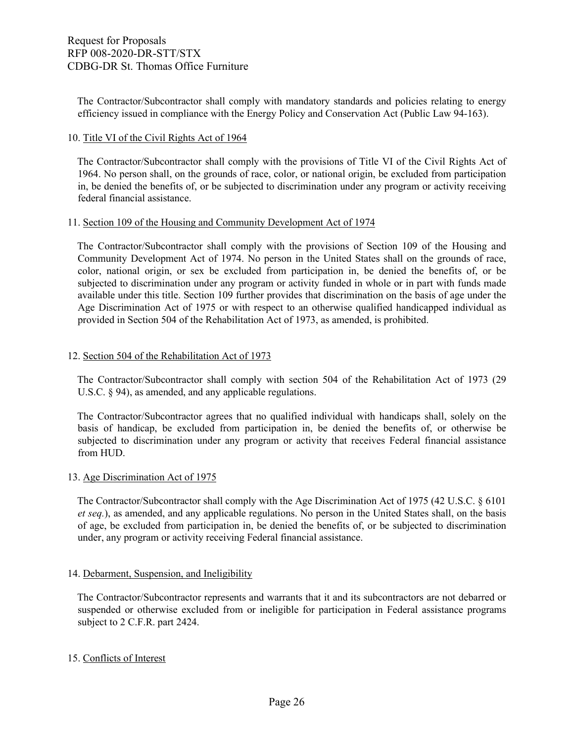The Contractor/Subcontractor shall comply with mandatory standards and policies relating to energy efficiency issued in compliance with the Energy Policy and Conservation Act (Public Law 94-163).

### 10. Title VI of the Civil Rights Act of 1964

The Contractor/Subcontractor shall comply with the provisions of Title VI of the Civil Rights Act of 1964. No person shall, on the grounds of race, color, or national origin, be excluded from participation in, be denied the benefits of, or be subjected to discrimination under any program or activity receiving federal financial assistance.

### 11. Section 109 of the Housing and Community Development Act of 1974

The Contractor/Subcontractor shall comply with the provisions of Section 109 of the Housing and Community Development Act of 1974. No person in the United States shall on the grounds of race, color, national origin, or sex be excluded from participation in, be denied the benefits of, or be subjected to discrimination under any program or activity funded in whole or in part with funds made available under this title. Section 109 further provides that discrimination on the basis of age under the Age Discrimination Act of 1975 or with respect to an otherwise qualified handicapped individual as provided in Section 504 of the Rehabilitation Act of 1973, as amended, is prohibited.

### 12. Section 504 of the Rehabilitation Act of 1973

The Contractor/Subcontractor shall comply with section 504 of the Rehabilitation Act of 1973 (29 U.S.C. § 94), as amended, and any applicable regulations.

The Contractor/Subcontractor agrees that no qualified individual with handicaps shall, solely on the basis of handicap, be excluded from participation in, be denied the benefits of, or otherwise be subjected to discrimination under any program or activity that receives Federal financial assistance from HUD.

### 13. Age Discrimination Act of 1975

The Contractor/Subcontractor shall comply with the Age Discrimination Act of 1975 (42 U.S.C. § 6101 *et seq.*), as amended, and any applicable regulations. No person in the United States shall, on the basis of age, be excluded from participation in, be denied the benefits of, or be subjected to discrimination under, any program or activity receiving Federal financial assistance.

### 14. Debarment, Suspension, and Ineligibility

The Contractor/Subcontractor represents and warrants that it and its subcontractors are not debarred or suspended or otherwise excluded from or ineligible for participation in Federal assistance programs subject to 2 C.F.R. part 2424.

### 15. Conflicts of Interest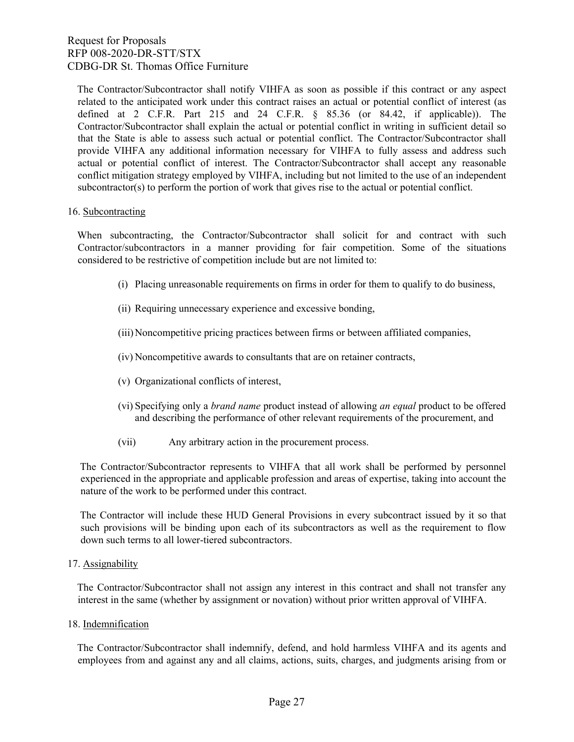The Contractor/Subcontractor shall notify VIHFA as soon as possible if this contract or any aspect related to the anticipated work under this contract raises an actual or potential conflict of interest (as defined at 2 C.F.R. Part 215 and 24 C.F.R. § 85.36 (or 84.42, if applicable)). The Contractor/Subcontractor shall explain the actual or potential conflict in writing in sufficient detail so that the State is able to assess such actual or potential conflict. The Contractor/Subcontractor shall provide VIHFA any additional information necessary for VIHFA to fully assess and address such actual or potential conflict of interest. The Contractor/Subcontractor shall accept any reasonable conflict mitigation strategy employed by VIHFA, including but not limited to the use of an independent subcontractor(s) to perform the portion of work that gives rise to the actual or potential conflict.

### 16. Subcontracting

When subcontracting, the Contractor/Subcontractor shall solicit for and contract with such Contractor/subcontractors in a manner providing for fair competition. Some of the situations considered to be restrictive of competition include but are not limited to:

- (i) Placing unreasonable requirements on firms in order for them to qualify to do business,
- (ii) Requiring unnecessary experience and excessive bonding,
- (iii)Noncompetitive pricing practices between firms or between affiliated companies,
- (iv) Noncompetitive awards to consultants that are on retainer contracts,
- (v) Organizational conflicts of interest,
- (vi) Specifying only a *brand name* product instead of allowing *an equal* product to be offered and describing the performance of other relevant requirements of the procurement, and
- (vii) Any arbitrary action in the procurement process.

The Contractor/Subcontractor represents to VIHFA that all work shall be performed by personnel experienced in the appropriate and applicable profession and areas of expertise, taking into account the nature of the work to be performed under this contract.

The Contractor will include these HUD General Provisions in every subcontract issued by it so that such provisions will be binding upon each of its subcontractors as well as the requirement to flow down such terms to all lower-tiered subcontractors.

17. Assignability

The Contractor/Subcontractor shall not assign any interest in this contract and shall not transfer any interest in the same (whether by assignment or novation) without prior written approval of VIHFA.

18. Indemnification

The Contractor/Subcontractor shall indemnify, defend, and hold harmless VIHFA and its agents and employees from and against any and all claims, actions, suits, charges, and judgments arising from or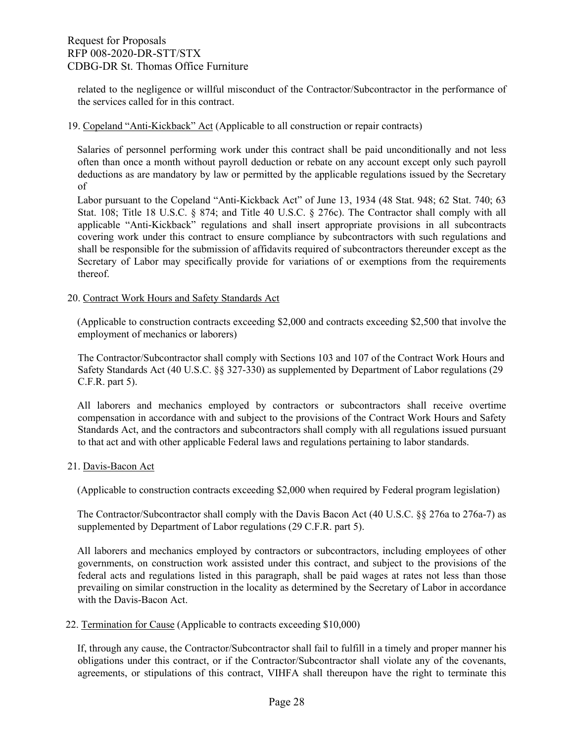related to the negligence or willful misconduct of the Contractor/Subcontractor in the performance of the services called for in this contract.

### 19. Copeland "Anti-Kickback" Act (Applicable to all construction or repair contracts)

Salaries of personnel performing work under this contract shall be paid unconditionally and not less often than once a month without payroll deduction or rebate on any account except only such payroll deductions as are mandatory by law or permitted by the applicable regulations issued by the Secretary of

Labor pursuant to the Copeland "Anti-Kickback Act" of June 13, 1934 (48 Stat. 948; 62 Stat. 740; 63 Stat. 108; Title 18 U.S.C. § 874; and Title 40 U.S.C. § 276c). The Contractor shall comply with all applicable "Anti-Kickback" regulations and shall insert appropriate provisions in all subcontracts covering work under this contract to ensure compliance by subcontractors with such regulations and shall be responsible for the submission of affidavits required of subcontractors thereunder except as the Secretary of Labor may specifically provide for variations of or exemptions from the requirements thereof.

### 20. Contract Work Hours and Safety Standards Act

(Applicable to construction contracts exceeding \$2,000 and contracts exceeding \$2,500 that involve the employment of mechanics or laborers)

The Contractor/Subcontractor shall comply with Sections 103 and 107 of the Contract Work Hours and Safety Standards Act (40 U.S.C. §§ 327-330) as supplemented by Department of Labor regulations (29 C.F.R. part 5).

All laborers and mechanics employed by contractors or subcontractors shall receive overtime compensation in accordance with and subject to the provisions of the Contract Work Hours and Safety Standards Act, and the contractors and subcontractors shall comply with all regulations issued pursuant to that act and with other applicable Federal laws and regulations pertaining to labor standards.

### 21. Davis-Bacon Act

(Applicable to construction contracts exceeding \$2,000 when required by Federal program legislation)

The Contractor/Subcontractor shall comply with the Davis Bacon Act (40 U.S.C. §§ 276a to 276a-7) as supplemented by Department of Labor regulations (29 C.F.R. part 5).

All laborers and mechanics employed by contractors or subcontractors, including employees of other governments, on construction work assisted under this contract, and subject to the provisions of the federal acts and regulations listed in this paragraph, shall be paid wages at rates not less than those prevailing on similar construction in the locality as determined by the Secretary of Labor in accordance with the Davis-Bacon Act.

### 22. Termination for Cause (Applicable to contracts exceeding \$10,000)

If, through any cause, the Contractor/Subcontractor shall fail to fulfill in a timely and proper manner his obligations under this contract, or if the Contractor/Subcontractor shall violate any of the covenants, agreements, or stipulations of this contract, VIHFA shall thereupon have the right to terminate this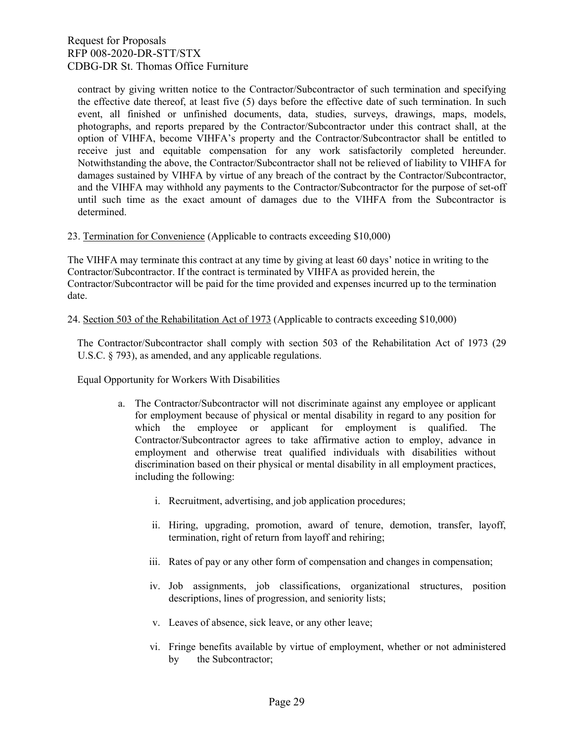contract by giving written notice to the Contractor/Subcontractor of such termination and specifying the effective date thereof, at least five (5) days before the effective date of such termination. In such event, all finished or unfinished documents, data, studies, surveys, drawings, maps, models, photographs, and reports prepared by the Contractor/Subcontractor under this contract shall, at the option of VIHFA, become VIHFA's property and the Contractor/Subcontractor shall be entitled to receive just and equitable compensation for any work satisfactorily completed hereunder. Notwithstanding the above, the Contractor/Subcontractor shall not be relieved of liability to VIHFA for damages sustained by VIHFA by virtue of any breach of the contract by the Contractor/Subcontractor, and the VIHFA may withhold any payments to the Contractor/Subcontractor for the purpose of set-off until such time as the exact amount of damages due to the VIHFA from the Subcontractor is determined.

### 23. Termination for Convenience (Applicable to contracts exceeding \$10,000)

The VIHFA may terminate this contract at any time by giving at least 60 days' notice in writing to the Contractor/Subcontractor. If the contract is terminated by VIHFA as provided herein, the Contractor/Subcontractor will be paid for the time provided and expenses incurred up to the termination date.

#### 24. Section 503 of the Rehabilitation Act of 1973 (Applicable to contracts exceeding \$10,000)

The Contractor/Subcontractor shall comply with section 503 of the Rehabilitation Act of 1973 (29 U.S.C. § 793), as amended, and any applicable regulations.

Equal Opportunity for Workers With Disabilities

- a. The Contractor/Subcontractor will not discriminate against any employee or applicant for employment because of physical or mental disability in regard to any position for which the employee or applicant for employment is qualified. The Contractor/Subcontractor agrees to take affirmative action to employ, advance in employment and otherwise treat qualified individuals with disabilities without discrimination based on their physical or mental disability in all employment practices, including the following:
	- i. Recruitment, advertising, and job application procedures;
	- ii. Hiring, upgrading, promotion, award of tenure, demotion, transfer, layoff, termination, right of return from layoff and rehiring;
	- iii. Rates of pay or any other form of compensation and changes in compensation;
	- iv. Job assignments, job classifications, organizational structures, position descriptions, lines of progression, and seniority lists;
	- v. Leaves of absence, sick leave, or any other leave;
	- vi. Fringe benefits available by virtue of employment, whether or not administered by the Subcontractor;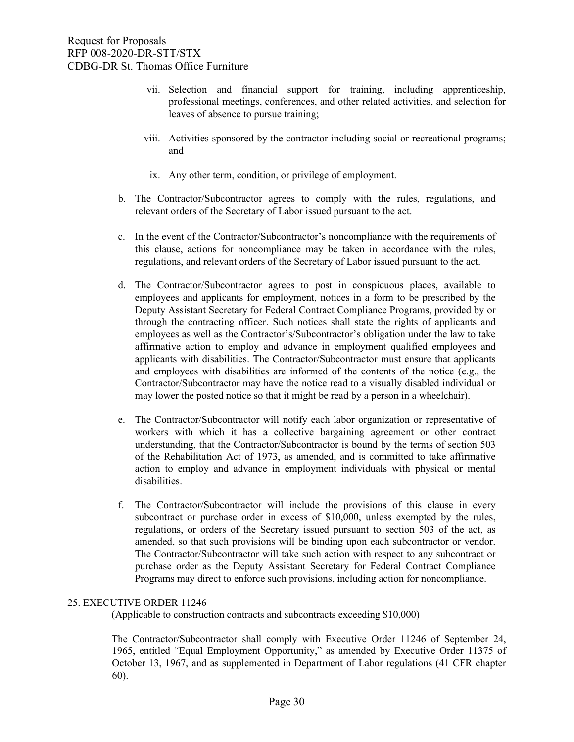- vii. Selection and financial support for training, including apprenticeship, professional meetings, conferences, and other related activities, and selection for leaves of absence to pursue training;
- viii. Activities sponsored by the contractor including social or recreational programs; and
	- ix. Any other term, condition, or privilege of employment.
- b. The Contractor/Subcontractor agrees to comply with the rules, regulations, and relevant orders of the Secretary of Labor issued pursuant to the act.
- c. In the event of the Contractor/Subcontractor's noncompliance with the requirements of this clause, actions for noncompliance may be taken in accordance with the rules, regulations, and relevant orders of the Secretary of Labor issued pursuant to the act.
- d. The Contractor/Subcontractor agrees to post in conspicuous places, available to employees and applicants for employment, notices in a form to be prescribed by the Deputy Assistant Secretary for Federal Contract Compliance Programs, provided by or through the contracting officer. Such notices shall state the rights of applicants and employees as well as the Contractor's/Subcontractor's obligation under the law to take affirmative action to employ and advance in employment qualified employees and applicants with disabilities. The Contractor/Subcontractor must ensure that applicants and employees with disabilities are informed of the contents of the notice (e.g., the Contractor/Subcontractor may have the notice read to a visually disabled individual or may lower the posted notice so that it might be read by a person in a wheelchair).
- e. The Contractor/Subcontractor will notify each labor organization or representative of workers with which it has a collective bargaining agreement or other contract understanding, that the Contractor/Subcontractor is bound by the terms of section 503 of the Rehabilitation Act of 1973, as amended, and is committed to take affirmative action to employ and advance in employment individuals with physical or mental disabilities.
- f. The Contractor/Subcontractor will include the provisions of this clause in every subcontract or purchase order in excess of \$10,000, unless exempted by the rules, regulations, or orders of the Secretary issued pursuant to section 503 of the act, as amended, so that such provisions will be binding upon each subcontractor or vendor. The Contractor/Subcontractor will take such action with respect to any subcontract or purchase order as the Deputy Assistant Secretary for Federal Contract Compliance Programs may direct to enforce such provisions, including action for noncompliance.

### 25. EXECUTIVE ORDER 11246

(Applicable to construction contracts and subcontracts exceeding \$10,000)

The Contractor/Subcontractor shall comply with Executive Order 11246 of September 24, 1965, entitled "Equal Employment Opportunity," as amended by Executive Order 11375 of October 13, 1967, and as supplemented in Department of Labor regulations (41 CFR chapter 60).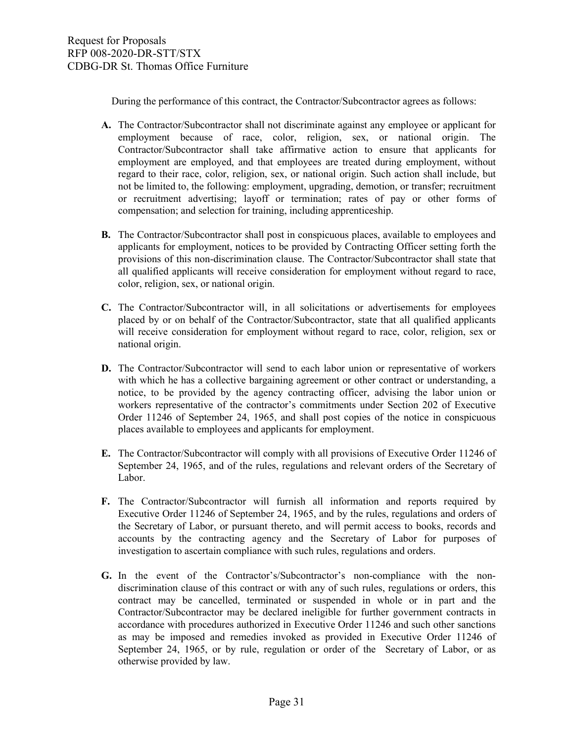During the performance of this contract, the Contractor/Subcontractor agrees as follows:

- **A.** The Contractor/Subcontractor shall not discriminate against any employee or applicant for employment because of race, color, religion, sex, or national origin. The Contractor/Subcontractor shall take affirmative action to ensure that applicants for employment are employed, and that employees are treated during employment, without regard to their race, color, religion, sex, or national origin. Such action shall include, but not be limited to, the following: employment, upgrading, demotion, or transfer; recruitment or recruitment advertising; layoff or termination; rates of pay or other forms of compensation; and selection for training, including apprenticeship.
- **B.** The Contractor/Subcontractor shall post in conspicuous places, available to employees and applicants for employment, notices to be provided by Contracting Officer setting forth the provisions of this non-discrimination clause. The Contractor/Subcontractor shall state that all qualified applicants will receive consideration for employment without regard to race, color, religion, sex, or national origin.
- **C.** The Contractor/Subcontractor will, in all solicitations or advertisements for employees placed by or on behalf of the Contractor/Subcontractor, state that all qualified applicants will receive consideration for employment without regard to race, color, religion, sex or national origin.
- **D.** The Contractor/Subcontractor will send to each labor union or representative of workers with which he has a collective bargaining agreement or other contract or understanding, a notice, to be provided by the agency contracting officer, advising the labor union or workers representative of the contractor's commitments under Section 202 of Executive Order 11246 of September 24, 1965, and shall post copies of the notice in conspicuous places available to employees and applicants for employment.
- **E.** The Contractor/Subcontractor will comply with all provisions of Executive Order 11246 of September 24, 1965, and of the rules, regulations and relevant orders of the Secretary of Labor.
- **F.** The Contractor/Subcontractor will furnish all information and reports required by Executive Order 11246 of September 24, 1965, and by the rules, regulations and orders of the Secretary of Labor, or pursuant thereto, and will permit access to books, records and accounts by the contracting agency and the Secretary of Labor for purposes of investigation to ascertain compliance with such rules, regulations and orders.
- **G.** In the event of the Contractor's/Subcontractor's non-compliance with the nondiscrimination clause of this contract or with any of such rules, regulations or orders, this contract may be cancelled, terminated or suspended in whole or in part and the Contractor/Subcontractor may be declared ineligible for further government contracts in accordance with procedures authorized in Executive Order 11246 and such other sanctions as may be imposed and remedies invoked as provided in Executive Order 11246 of September 24, 1965, or by rule, regulation or order of the Secretary of Labor, or as otherwise provided by law.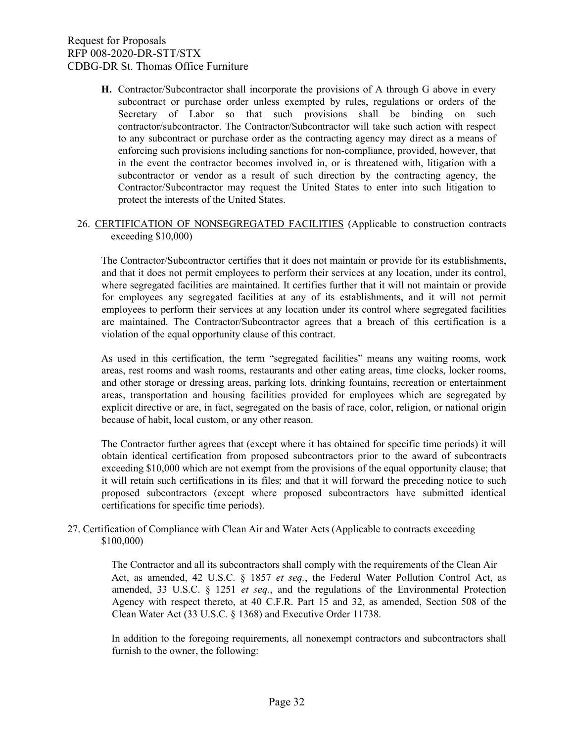**H.** Contractor/Subcontractor shall incorporate the provisions of A through G above in every subcontract or purchase order unless exempted by rules, regulations or orders of the Secretary of Labor so that such provisions shall be binding on such contractor/subcontractor. The Contractor/Subcontractor will take such action with respect to any subcontract or purchase order as the contracting agency may direct as a means of enforcing such provisions including sanctions for non-compliance, provided, however, that in the event the contractor becomes involved in, or is threatened with, litigation with a subcontractor or vendor as a result of such direction by the contracting agency, the Contractor/Subcontractor may request the United States to enter into such litigation to protect the interests of the United States.

### 26. CERTIFICATION OF NONSEGREGATED FACILITIES (Applicable to construction contracts exceeding \$10,000)

The Contractor/Subcontractor certifies that it does not maintain or provide for its establishments, and that it does not permit employees to perform their services at any location, under its control, where segregated facilities are maintained. It certifies further that it will not maintain or provide for employees any segregated facilities at any of its establishments, and it will not permit employees to perform their services at any location under its control where segregated facilities are maintained. The Contractor/Subcontractor agrees that a breach of this certification is a violation of the equal opportunity clause of this contract.

As used in this certification, the term "segregated facilities" means any waiting rooms, work areas, rest rooms and wash rooms, restaurants and other eating areas, time clocks, locker rooms, and other storage or dressing areas, parking lots, drinking fountains, recreation or entertainment areas, transportation and housing facilities provided for employees which are segregated by explicit directive or are, in fact, segregated on the basis of race, color, religion, or national origin because of habit, local custom, or any other reason.

The Contractor further agrees that (except where it has obtained for specific time periods) it will obtain identical certification from proposed subcontractors prior to the award of subcontracts exceeding \$10,000 which are not exempt from the provisions of the equal opportunity clause; that it will retain such certifications in its files; and that it will forward the preceding notice to such proposed subcontractors (except where proposed subcontractors have submitted identical certifications for specific time periods).

### 27. Certification of Compliance with Clean Air and Water Acts (Applicable to contracts exceeding \$100,000)

The Contractor and all its subcontractors shall comply with the requirements of the Clean Air Act, as amended, 42 U.S.C. § 1857 *et seq.*, the Federal Water Pollution Control Act, as amended, 33 U.S.C. § 1251 *et seq.*, and the regulations of the Environmental Protection Agency with respect thereto, at 40 C.F.R. Part 15 and 32, as amended, Section 508 of the Clean Water Act (33 U.S.C. § 1368) and Executive Order 11738.

In addition to the foregoing requirements, all nonexempt contractors and subcontractors shall furnish to the owner, the following: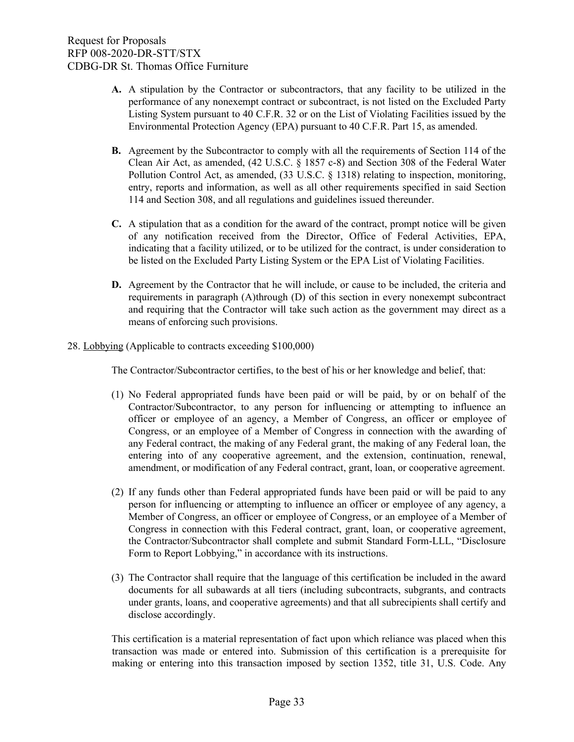- **A.** A stipulation by the Contractor or subcontractors, that any facility to be utilized in the performance of any nonexempt contract or subcontract, is not listed on the Excluded Party Listing System pursuant to 40 C.F.R. 32 or on the List of Violating Facilities issued by the Environmental Protection Agency (EPA) pursuant to 40 C.F.R. Part 15, as amended.
- **B.** Agreement by the Subcontractor to comply with all the requirements of Section 114 of the Clean Air Act, as amended, (42 U.S.C. § 1857 c-8) and Section 308 of the Federal Water Pollution Control Act, as amended, (33 U.S.C. § 1318) relating to inspection, monitoring, entry, reports and information, as well as all other requirements specified in said Section 114 and Section 308, and all regulations and guidelines issued thereunder.
- **C.** A stipulation that as a condition for the award of the contract, prompt notice will be given of any notification received from the Director, Office of Federal Activities, EPA, indicating that a facility utilized, or to be utilized for the contract, is under consideration to be listed on the Excluded Party Listing System or the EPA List of Violating Facilities.
- **D.** Agreement by the Contractor that he will include, or cause to be included, the criteria and requirements in paragraph (A)through (D) of this section in every nonexempt subcontract and requiring that the Contractor will take such action as the government may direct as a means of enforcing such provisions.
- 28. Lobbying (Applicable to contracts exceeding \$100,000)

The Contractor/Subcontractor certifies, to the best of his or her knowledge and belief, that:

- (1) No Federal appropriated funds have been paid or will be paid, by or on behalf of the Contractor/Subcontractor, to any person for influencing or attempting to influence an officer or employee of an agency, a Member of Congress, an officer or employee of Congress, or an employee of a Member of Congress in connection with the awarding of any Federal contract, the making of any Federal grant, the making of any Federal loan, the entering into of any cooperative agreement, and the extension, continuation, renewal, amendment, or modification of any Federal contract, grant, loan, or cooperative agreement.
- (2) If any funds other than Federal appropriated funds have been paid or will be paid to any person for influencing or attempting to influence an officer or employee of any agency, a Member of Congress, an officer or employee of Congress, or an employee of a Member of Congress in connection with this Federal contract, grant, loan, or cooperative agreement, the Contractor/Subcontractor shall complete and submit Standard Form-LLL, "Disclosure Form to Report Lobbying," in accordance with its instructions.
- (3) The Contractor shall require that the language of this certification be included in the award documents for all subawards at all tiers (including subcontracts, subgrants, and contracts under grants, loans, and cooperative agreements) and that all subrecipients shall certify and disclose accordingly.

This certification is a material representation of fact upon which reliance was placed when this transaction was made or entered into. Submission of this certification is a prerequisite for making or entering into this transaction imposed by section 1352, title 31, U.S. Code. Any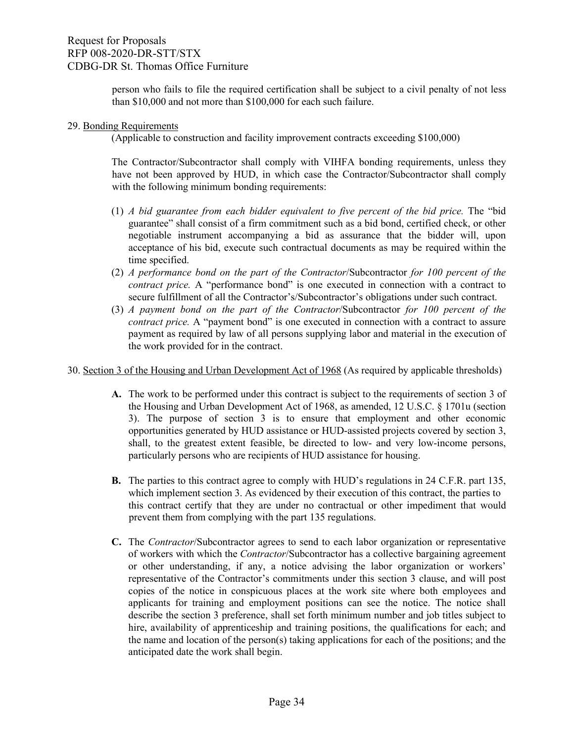person who fails to file the required certification shall be subject to a civil penalty of not less than \$10,000 and not more than \$100,000 for each such failure.

### 29. Bonding Requirements

(Applicable to construction and facility improvement contracts exceeding \$100,000)

The Contractor/Subcontractor shall comply with VIHFA bonding requirements, unless they have not been approved by HUD, in which case the Contractor/Subcontractor shall comply with the following minimum bonding requirements:

- (1) *A bid guarantee from each bidder equivalent to five percent of the bid price.* The "bid guarantee" shall consist of a firm commitment such as a bid bond, certified check, or other negotiable instrument accompanying a bid as assurance that the bidder will, upon acceptance of his bid, execute such contractual documents as may be required within the time specified.
- (2) *A performance bond on the part of the Contractor*/Subcontractor *for 100 percent of the contract price.* A "performance bond" is one executed in connection with a contract to secure fulfillment of all the Contractor's/Subcontractor's obligations under such contract.
- (3) *A payment bond on the part of the Contractor*/Subcontractor *for 100 percent of the contract price.* A "payment bond" is one executed in connection with a contract to assure payment as required by law of all persons supplying labor and material in the execution of the work provided for in the contract.

30. Section 3 of the Housing and Urban Development Act of 1968 (As required by applicable thresholds)

- **A.** The work to be performed under this contract is subject to the requirements of section 3 of the Housing and Urban Development Act of 1968, as amended, 12 U.S.C. § 1701u (section 3). The purpose of section 3 is to ensure that employment and other economic opportunities generated by HUD assistance or HUD-assisted projects covered by section 3, shall, to the greatest extent feasible, be directed to low- and very low-income persons, particularly persons who are recipients of HUD assistance for housing.
- **B.** The parties to this contract agree to comply with HUD's regulations in 24 C.F.R. part 135, which implement section 3. As evidenced by their execution of this contract, the parties to this contract certify that they are under no contractual or other impediment that would prevent them from complying with the part 135 regulations.
- **C.** The *Contractor*/Subcontractor agrees to send to each labor organization or representative of workers with which the *Contractor*/Subcontractor has a collective bargaining agreement or other understanding, if any, a notice advising the labor organization or workers' representative of the Contractor's commitments under this section 3 clause, and will post copies of the notice in conspicuous places at the work site where both employees and applicants for training and employment positions can see the notice. The notice shall describe the section 3 preference, shall set forth minimum number and job titles subject to hire, availability of apprenticeship and training positions, the qualifications for each; and the name and location of the person(s) taking applications for each of the positions; and the anticipated date the work shall begin.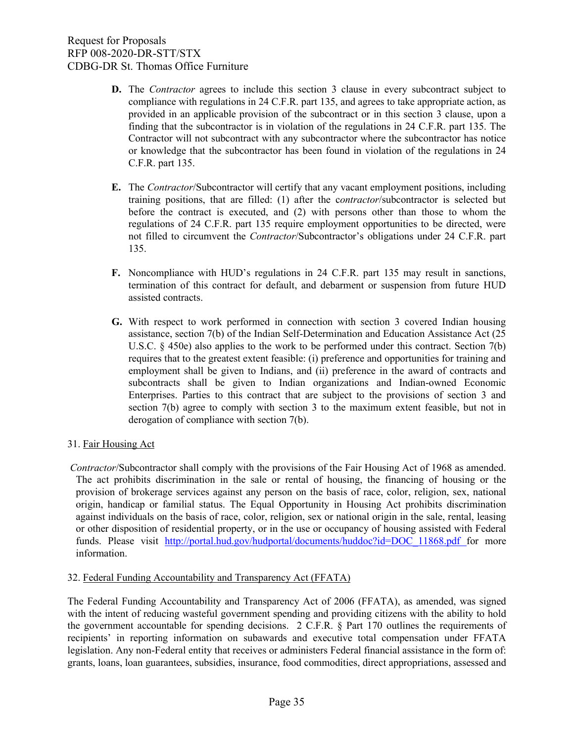- **D.** The *Contractor* agrees to include this section 3 clause in every subcontract subject to compliance with regulations in 24 C.F.R. part 135, and agrees to take appropriate action, as provided in an applicable provision of the subcontract or in this section 3 clause, upon a finding that the subcontractor is in violation of the regulations in 24 C.F.R. part 135. The Contractor will not subcontract with any subcontractor where the subcontractor has notice or knowledge that the subcontractor has been found in violation of the regulations in 24 C.F.R. part 135.
- **E.** The *Contractor*/Subcontractor will certify that any vacant employment positions, including training positions, that are filled: (1) after the c*ontractor*/subcontractor is selected but before the contract is executed, and (2) with persons other than those to whom the regulations of 24 C.F.R. part 135 require employment opportunities to be directed, were not filled to circumvent the *Contractor*/Subcontractor's obligations under 24 C.F.R. part 135.
- **F.** Noncompliance with HUD's regulations in 24 C.F.R. part 135 may result in sanctions, termination of this contract for default, and debarment or suspension from future HUD assisted contracts.
- **G.** With respect to work performed in connection with section 3 covered Indian housing assistance, section 7(b) of the Indian Self-Determination and Education Assistance Act (25 U.S.C. § 450e) also applies to the work to be performed under this contract. Section 7(b) requires that to the greatest extent feasible: (i) preference and opportunities for training and employment shall be given to Indians, and (ii) preference in the award of contracts and subcontracts shall be given to Indian organizations and Indian-owned Economic Enterprises. Parties to this contract that are subject to the provisions of section 3 and section 7(b) agree to comply with section 3 to the maximum extent feasible, but not in derogation of compliance with section 7(b).

### 31. Fair Housing Act

*Contractor*/Subcontractor shall comply with the provisions of the Fair Housing Act of 1968 as amended. The act prohibits discrimination in the sale or rental of housing, the financing of housing or the provision of brokerage services against any person on the basis of race, color, religion, sex, national origin, handicap or familial status. The Equal Opportunity in Housing Act prohibits discrimination against individuals on the basis of race, color, religion, sex or national origin in the sale, rental, leasing or other disposition of residential property, or in the use or occupancy of housing assisted with Federal funds. Please visit [http://portal.hud.gov/hudportal/documents/huddoc?id=DOC\\_11868.pdf](http://portal.hud.gov/hudportal/documents/huddoc?id=DOC_11868.pdf%20) [f](http://portal.hud.gov/hudportal/documents/huddoc?id=DOC_11868.pdf%20)or more information.

### 32. Federal Funding Accountability and Transparency Act (FFATA)

The Federal Funding Accountability and Transparency Act of 2006 (FFATA), as amended, was signed with the intent of reducing wasteful government spending and providing citizens with the ability to hold the government accountable for spending decisions. 2 C.F.R. § Part 170 outlines the requirements of recipients' in reporting information on subawards and executive total compensation under FFATA legislation. Any non-Federal entity that receives or administers Federal financial assistance in the form of: grants, loans, loan guarantees, subsidies, insurance, food commodities, direct appropriations, assessed and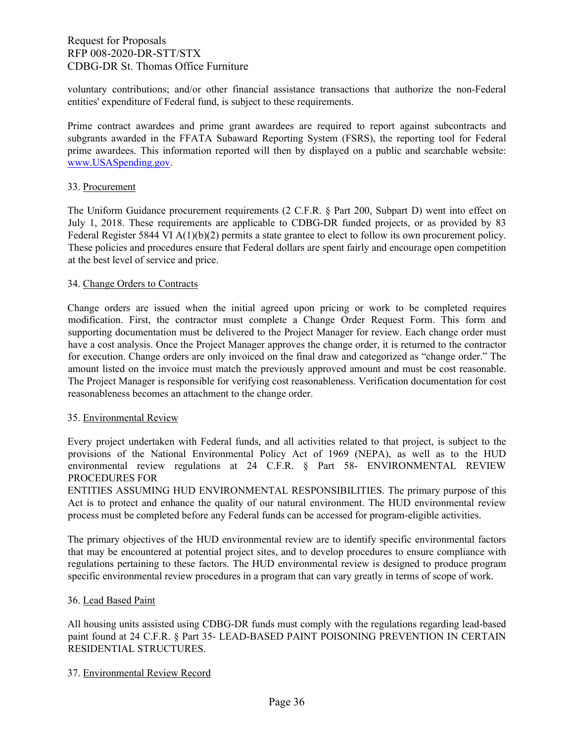voluntary contributions; and/or other financial assistance transactions that authorize the non-Federal entities' expenditure of Federal fund, is subject to these requirements.

Prime contract awardees and prime grant awardees are required to report against subcontracts and subgrants awarded in the FFATA Subaward Reporting System (FSRS), the reporting tool for Federal prime awardees. This information reported will then by displayed on a public and searchable website: [www.USASpending.gov.](http://www.usaspending.gov/)

### 33. Procurement

The Uniform Guidance procurement requirements (2 C.F.R. § Part 200, Subpart D) went into effect on July 1, 2018. These requirements are applicable to CDBG-DR funded projects, or as provided by 83 Federal Register 5844 VI  $A(1)(b)(2)$  permits a state grantee to elect to follow its own procurement policy. These policies and procedures ensure that Federal dollars are spent fairly and encourage open competition at the best level of service and price.

### 34. Change Orders to Contracts

Change orders are issued when the initial agreed upon pricing or work to be completed requires modification. First, the contractor must complete a Change Order Request Form. This form and supporting documentation must be delivered to the Project Manager for review. Each change order must have a cost analysis. Once the Project Manager approves the change order, it is returned to the contractor for execution. Change orders are only invoiced on the final draw and categorized as "change order." The amount listed on the invoice must match the previously approved amount and must be cost reasonable. The Project Manager is responsible for verifying cost reasonableness. Verification documentation for cost reasonableness becomes an attachment to the change order.

### 35. Environmental Review

Every project undertaken with Federal funds, and all activities related to that project, is subject to the provisions of the National Environmental Policy Act of 1969 (NEPA), as well as to the HUD environmental review regulations at 24 C.F.R. § Part 58- ENVIRONMENTAL REVIEW PROCEDURES FOR

ENTITIES ASSUMING HUD ENVIRONMENTAL RESPONSIBILITIES. The primary purpose of this Act is to protect and enhance the quality of our natural environment. The HUD environmental review process must be completed before any Federal funds can be accessed for program‐eligible activities.

The primary objectives of the HUD environmental review are to identify specific environmental factors that may be encountered at potential project sites, and to develop procedures to ensure compliance with regulations pertaining to these factors. The HUD environmental review is designed to produce program specific environmental review procedures in a program that can vary greatly in terms of scope of work.

### 36. Lead Based Paint

All housing units assisted using CDBG-DR funds must comply with the regulations regarding lead-based paint found at 24 C.F.R. § Part 35- LEAD-BASED PAINT POISONING PREVENTION IN CERTAIN RESIDENTIAL STRUCTURES.

### 37. Environmental Review Record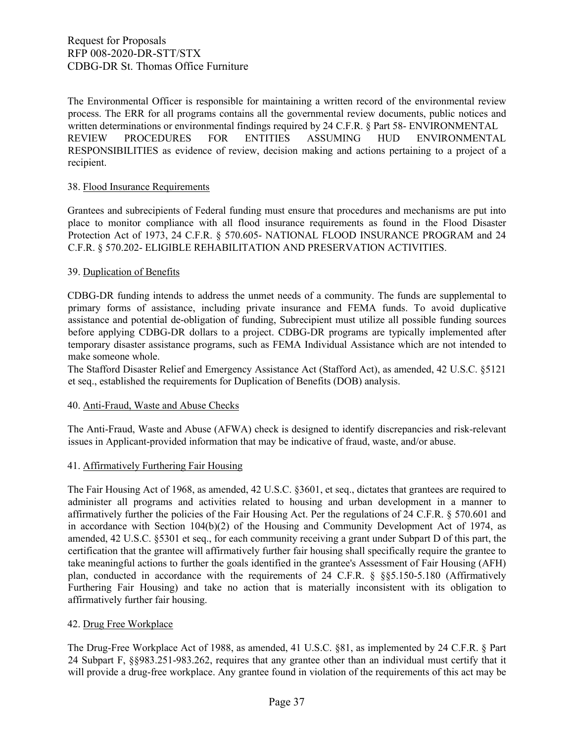The Environmental Officer is responsible for maintaining a written record of the environmental review process. The ERR for all programs contains all the governmental review documents, public notices and written determinations or environmental findings required by 24 C.F.R. § Part 58- ENVIRONMENTAL REVIEW PROCEDURES FOR ENTITIES ASSUMING HUD ENVIRONMENTAL RESPONSIBILITIES as evidence of review, decision making and actions pertaining to a project of a recipient.

### 38. Flood Insurance Requirements

Grantees and subrecipients of Federal funding must ensure that procedures and mechanisms are put into place to monitor compliance with all flood insurance requirements as found in the Flood Disaster Protection Act of 1973, 24 C.F.R. § 570.605- NATIONAL FLOOD INSURANCE PROGRAM and 24 C.F.R. § 570.202- ELIGIBLE REHABILITATION AND PRESERVATION ACTIVITIES.

### 39. Duplication of Benefits

CDBG-DR funding intends to address the unmet needs of a community. The funds are supplemental to primary forms of assistance, including private insurance and FEMA funds. To avoid duplicative assistance and potential de-obligation of funding, Subrecipient must utilize all possible funding sources before applying CDBG-DR dollars to a project. CDBG-DR programs are typically implemented after temporary disaster assistance programs, such as FEMA Individual Assistance which are not intended to make someone whole.

The Stafford Disaster Relief and Emergency Assistance Act (Stafford Act), as amended, 42 U.S.C. §5121 et seq., established the requirements for Duplication of Benefits (DOB) analysis.

### 40. Anti-Fraud, Waste and Abuse Checks

The Anti-Fraud, Waste and Abuse (AFWA) check is designed to identify discrepancies and risk-relevant issues in Applicant-provided information that may be indicative of fraud, waste, and/or abuse.

### 41. Affirmatively Furthering Fair Housing

The Fair Housing Act of 1968, as amended, 42 U.S.C. §3601, et seq., dictates that grantees are required to administer all programs and activities related to housing and urban development in a manner to affirmatively further the policies of the Fair Housing Act. Per the regulations of 24 C.F.R. § 570.601 and in accordance with Section 104(b)(2) of the Housing and Community Development Act of 1974, as amended, 42 U.S.C. §5301 et seq., for each community receiving a grant under Subpart D of this part, the certification that the grantee will affirmatively further fair housing shall specifically require the grantee to take meaningful actions to further the goals identified in the grantee's Assessment of Fair Housing (AFH) plan, conducted in accordance with the requirements of 24 C.F.R. § §§5.150-5.180 (Affirmatively Furthering Fair Housing) and take no action that is materially inconsistent with its obligation to affirmatively further fair housing.

### 42. Drug Free Workplace

The Drug-Free Workplace Act of 1988, as amended, 41 U.S.C. §81, as implemented by 24 C.F.R. § Part 24 Subpart F, §§983.251-983.262, requires that any grantee other than an individual must certify that it will provide a drug-free workplace. Any grantee found in violation of the requirements of this act may be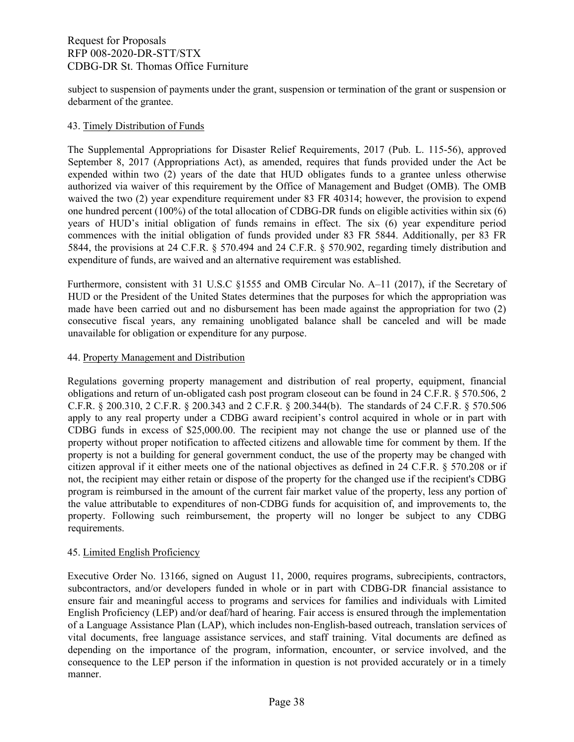subject to suspension of payments under the grant, suspension or termination of the grant or suspension or debarment of the grantee.

#### 43. Timely Distribution of Funds

The Supplemental Appropriations for Disaster Relief Requirements, 2017 (Pub. L. 115-56), approved September 8, 2017 (Appropriations Act), as amended, requires that funds provided under the Act be expended within two (2) years of the date that HUD obligates funds to a grantee unless otherwise authorized via waiver of this requirement by the Office of Management and Budget (OMB). The OMB waived the two (2) year expenditure requirement under 83 FR 40314; however, the provision to expend one hundred percent (100%) of the total allocation of CDBG-DR funds on eligible activities within six (6) years of HUD's initial obligation of funds remains in effect. The six (6) year expenditure period commences with the initial obligation of funds provided under 83 FR 5844. Additionally, per 83 FR 5844, the provisions at 24 C.F.R. § 570.494 and 24 C.F.R. § 570.902, regarding timely distribution and expenditure of funds, are waived and an alternative requirement was established.

Furthermore, consistent with 31 U.S.C §1555 and OMB Circular No. A–11 (2017), if the Secretary of HUD or the President of the United States determines that the purposes for which the appropriation was made have been carried out and no disbursement has been made against the appropriation for two (2) consecutive fiscal years, any remaining unobligated balance shall be canceled and will be made unavailable for obligation or expenditure for any purpose.

### 44. Property Management and Distribution

Regulations governing property management and distribution of real property, equipment, financial obligations and return of un-obligated cash post program closeout can be found in 24 C.F.R. § 570.506, 2 C.F.R. § 200.310, 2 C.F.R. § 200.343 and 2 C.F.R. § 200.344(b). The standards of 24 C.F.R. § 570.506 apply to any real property under a CDBG award recipient's control acquired in whole or in part with CDBG funds in excess of \$25,000.00. The recipient may not change the use or planned use of the property without proper notification to affected citizens and allowable time for comment by them. If the property is not a building for general government conduct, the use of the property may be changed with citizen approval if it either meets one of the national objectives as defined in 24 C.F.R. § 570.208 or if not, the recipient may either retain or dispose of the property for the changed use if the recipient's CDBG program is reimbursed in the amount of the current fair market value of the property, less any portion of the value attributable to expenditures of non-CDBG funds for acquisition of, and improvements to, the property. Following such reimbursement, the property will no longer be subject to any CDBG requirements.

### 45. Limited English Proficiency

Executive Order No. 13166, signed on August 11, 2000, requires programs, subrecipients, contractors, subcontractors, and/or developers funded in whole or in part with CDBG-DR financial assistance to ensure fair and meaningful access to programs and services for families and individuals with Limited English Proficiency (LEP) and/or deaf/hard of hearing. Fair access is ensured through the implementation of a Language Assistance Plan (LAP), which includes non-English-based outreach, translation services of vital documents, free language assistance services, and staff training. Vital documents are defined as depending on the importance of the program, information, encounter, or service involved, and the consequence to the LEP person if the information in question is not provided accurately or in a timely manner.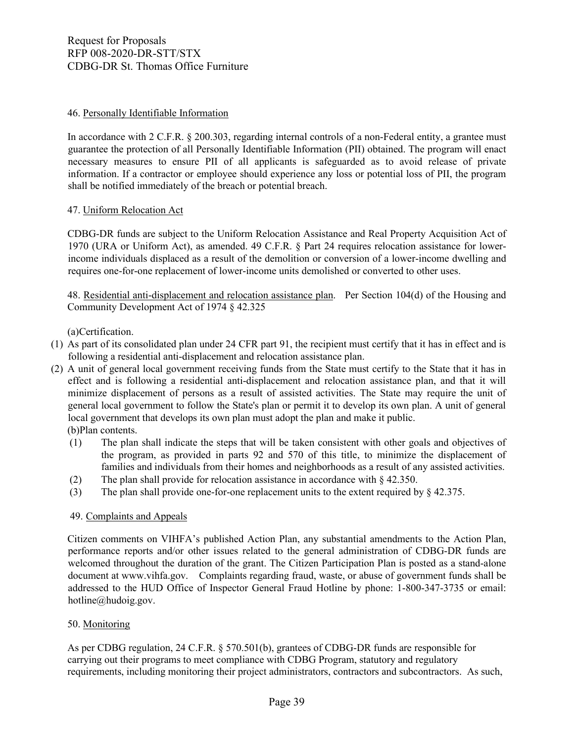### 46. Personally Identifiable Information

In accordance with 2 C.F.R. § 200.303, regarding internal controls of a non-Federal entity, a grantee must guarantee the protection of all Personally Identifiable Information (PII) obtained. The program will enact necessary measures to ensure PII of all applicants is safeguarded as to avoid release of private information. If a contractor or employee should experience any loss or potential loss of PII, the program shall be notified immediately of the breach or potential breach.

### 47. Uniform Relocation Act

CDBG-DR funds are subject to the Uniform Relocation Assistance and Real Property Acquisition Act of 1970 (URA or Uniform Act), as amended. 49 C.F.R. § Part 24 requires relocation assistance for lowerincome individuals displaced as a result of the demolition or conversion of a lower-income dwelling and requires one-for-one replacement of lower-income units demolished or converted to other uses.

48. Residential anti-displacement and relocation assistance plan. Per Section 104(d) of the Housing and Community Development Act of 1974 § 42.325

(a)Certification.

- (1) As part of its consolidated plan under [24 CFR part 91,](https://www.law.cornell.edu/cfr/text/24/part-91) the recipient must certify that it has in effect and is following a residential anti-displacement and relocation assistance plan.
- (2) A unit of general local government receiving funds from the State must certify to the State that it has in effect and is following a residential anti-displacement and relocation assistance plan, and that it will minimize displacement of persons as a result of assisted activities. The State may require the unit of general local government to follow the State's plan or permit it to develop its own plan. A unit of general local government that develops its own plan must adopt the plan and make it public. (b)Plan contents.
	- (1) The plan shall indicate the steps that will be taken consistent with other goals and objectives of the program, as provided in parts 92 and 570 of this title, to minimize the displacement of families and individuals from their homes and neighborhoods as a result of any assisted activities.
	- (2) The plan shall provide for relocation assistance in accordance with [§ 42.350.](https://www.law.cornell.edu/cfr/text/24/42.350)
	- (3) The plan shall provide one-for-one replacement units to the extent required by [§ 42.375.](https://www.law.cornell.edu/cfr/text/24/42.375)

### 49. Complaints and Appeals

Citizen comments on VIHFA's published Action Plan, any substantial amendments to the Action Plan, performance reports and/or other issues related to the general administration of CDBG-DR funds are welcomed throughout the duration of the grant. The Citizen Participation Plan is posted as a stand-alone document at www.vihfa.gov. Complaints regarding fraud, waste, or abuse of government funds shall be addressed to the HUD Office of Inspector General Fraud Hotline by phone: 1-800-347-3735 or email: hotline@hudoig.gov.

### 50. Monitoring

As per CDBG regulation, 24 C.F.R. § 570.501(b), grantees of CDBG‐DR funds are responsible for carrying out their programs to meet compliance with CDBG Program, statutory and regulatory requirements, including monitoring their project administrators, contractors and subcontractors. As such,